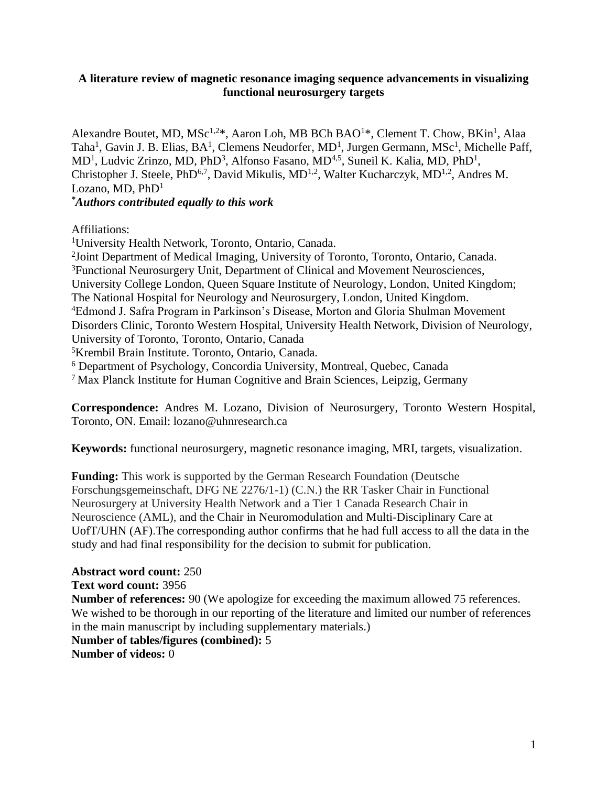## **A literature review of magnetic resonance imaging sequence advancements in visualizing functional neurosurgery targets**

Alexandre Boutet, MD, MSc<sup>1,2\*</sup>, Aaron Loh, MB BCh BAO<sup>1\*</sup>, Clement T. Chow, BKin<sup>1</sup>, Alaa Taha<sup>1</sup>, Gavin J. B. Elias, BA<sup>1</sup>, Clemens Neudorfer, MD<sup>1</sup>, Jurgen Germann, MSc<sup>1</sup>, Michelle Paff, MD<sup>1</sup>, Ludvic Zrinzo, MD, PhD<sup>3</sup>, Alfonso Fasano, MD<sup>4,5</sup>, Suneil K. Kalia, MD, PhD<sup>1</sup>, Christopher J. Steele, PhD<sup>6,7</sup>, David Mikulis, MD<sup>1,2</sup>, Walter Kucharczyk, MD<sup>1,2</sup>, Andres M. Lozano, MD,  $PhD<sup>1</sup>$ 

*\*Authors contributed equally to this work*

Affiliations:

<sup>1</sup>University Health Network, Toronto, Ontario, Canada. <sup>2</sup>Joint Department of Medical Imaging, University of Toronto, Toronto, Ontario, Canada. <sup>3</sup>Functional Neurosurgery Unit, Department of Clinical and Movement Neurosciences, University College London, Queen Square Institute of Neurology, London, United Kingdom; The National Hospital for Neurology and Neurosurgery, London, United Kingdom. <sup>4</sup>Edmond J. Safra Program in Parkinson's Disease, Morton and Gloria Shulman Movement Disorders Clinic, Toronto Western Hospital, University Health Network, Division of Neurology, University of Toronto, Toronto, Ontario, Canada <sup>5</sup>Krembil Brain Institute. Toronto, Ontario, Canada. <sup>6</sup> Department of Psychology, Concordia University, Montreal, Quebec, Canada <sup>7</sup>Max Planck Institute for Human Cognitive and Brain Sciences, Leipzig, Germany

**Correspondence:** Andres M. Lozano, Division of Neurosurgery, Toronto Western Hospital, Toronto, ON. Email: lozano@uhnresearch.ca

**Keywords:** functional neurosurgery, magnetic resonance imaging, MRI, targets, visualization.

**Funding:** This work is supported by the German Research Foundation (Deutsche Forschungsgemeinschaft, DFG NE 2276/1-1) (C.N.) the RR Tasker Chair in Functional Neurosurgery at University Health Network and a Tier 1 Canada Research Chair in Neuroscience (AML), and the Chair in Neuromodulation and Multi-Disciplinary Care at UofT/UHN (AF).The corresponding author confirms that he had full access to all the data in the study and had final responsibility for the decision to submit for publication.

**Abstract word count:** 250 **Text word count:** 3956 **Number of references:** 90 (We apologize for exceeding the maximum allowed 75 references. We wished to be thorough in our reporting of the literature and limited our number of references in the main manuscript by including supplementary materials.) **Number of tables/figures (combined):** 5 **Number of videos:** 0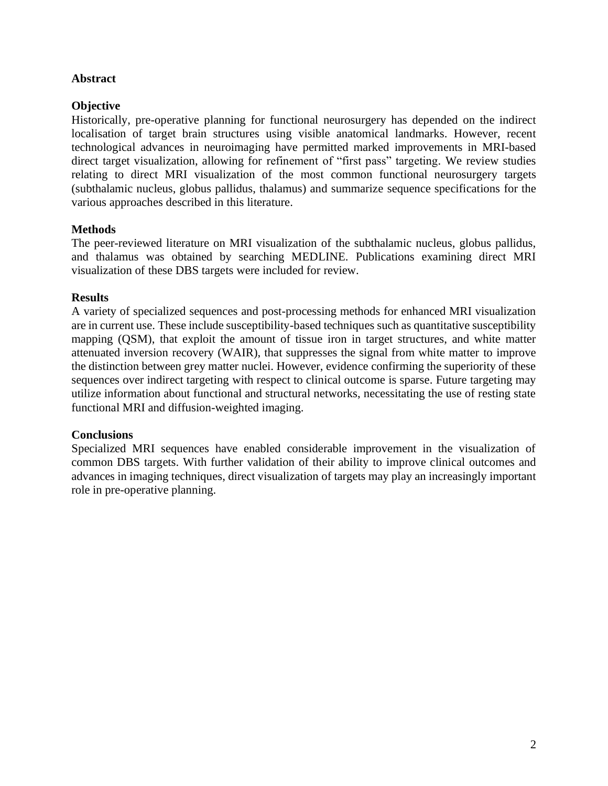# **Abstract**

# **Objective**

Historically, pre-operative planning for functional neurosurgery has depended on the indirect localisation of target brain structures using visible anatomical landmarks. However, recent technological advances in neuroimaging have permitted marked improvements in MRI-based direct target visualization, allowing for refinement of "first pass" targeting. We review studies relating to direct MRI visualization of the most common functional neurosurgery targets (subthalamic nucleus, globus pallidus, thalamus) and summarize sequence specifications for the various approaches described in this literature.

# **Methods**

The peer-reviewed literature on MRI visualization of the subthalamic nucleus, globus pallidus, and thalamus was obtained by searching MEDLINE. Publications examining direct MRI visualization of these DBS targets were included for review.

# **Results**

A variety of specialized sequences and post-processing methods for enhanced MRI visualization are in current use. These include susceptibility-based techniques such as quantitative susceptibility mapping (QSM), that exploit the amount of tissue iron in target structures, and white matter attenuated inversion recovery (WAIR), that suppresses the signal from white matter to improve the distinction between grey matter nuclei. However, evidence confirming the superiority of these sequences over indirect targeting with respect to clinical outcome is sparse. Future targeting may utilize information about functional and structural networks, necessitating the use of resting state functional MRI and diffusion-weighted imaging.

# **Conclusions**

Specialized MRI sequences have enabled considerable improvement in the visualization of common DBS targets. With further validation of their ability to improve clinical outcomes and advances in imaging techniques, direct visualization of targets may play an increasingly important role in pre-operative planning.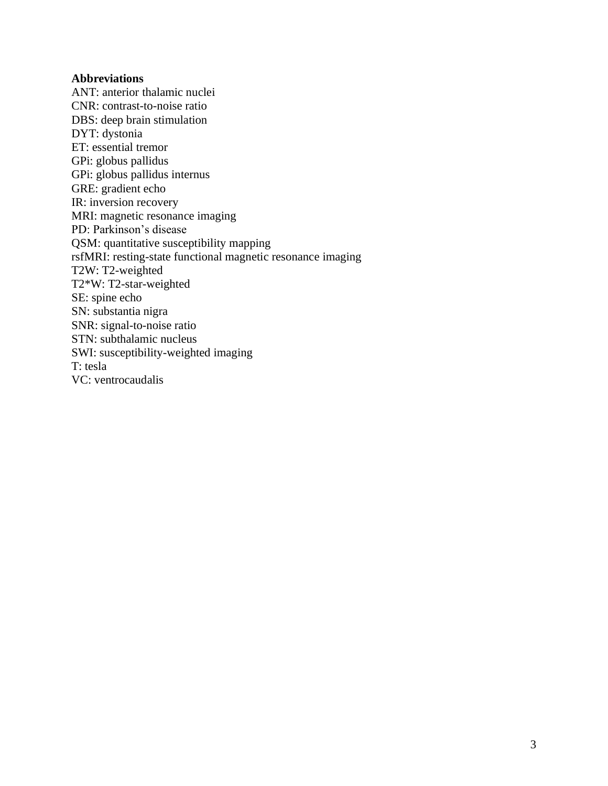## **Abbreviations**

ANT: anterior thalamic nuclei CNR: contrast-to-noise ratio DBS: deep brain stimulation DYT: dystonia ET: essential tremor GPi: globus pallidus GPi: globus pallidus internus GRE: gradient echo IR: inversion recovery MRI: magnetic resonance imaging PD: Parkinson's disease QSM: quantitative susceptibility mapping rsfMRI: resting-state functional magnetic resonance imaging T2W: T2-weighted T2\*W: T2-star-weighted SE: spine echo SN: substantia nigra SNR: signal-to-noise ratio STN: subthalamic nucleus SWI: susceptibility-weighted imaging T: tesla VC: ventrocaudalis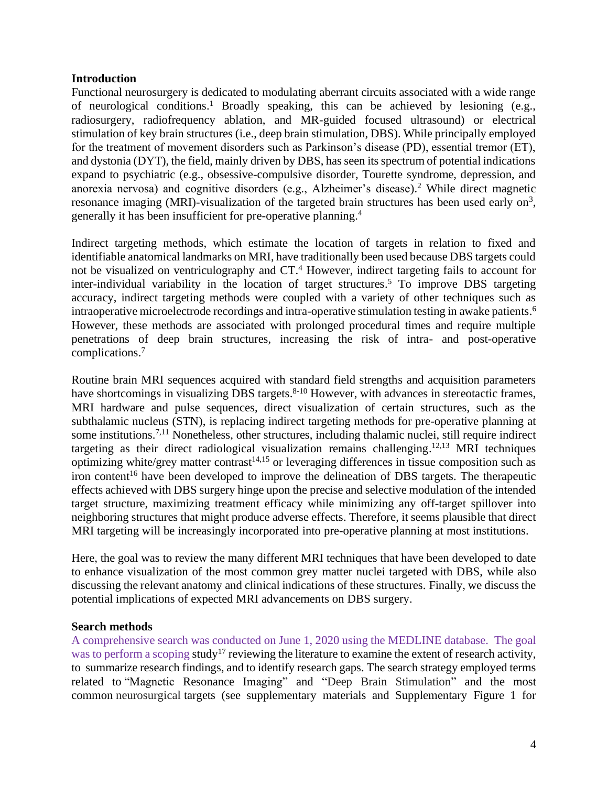### **Introduction**

Functional neurosurgery is dedicated to modulating aberrant circuits associated with a wide range of neurological conditions. <sup>1</sup> Broadly speaking, this can be achieved by lesioning (e.g., radiosurgery, radiofrequency ablation, and MR-guided focused ultrasound) or electrical stimulation of key brain structures (i.e., deep brain stimulation, DBS). While principally employed for the treatment of movement disorders such as Parkinson's disease (PD), essential tremor (ET), and dystonia (DYT), the field, mainly driven by DBS, has seen its spectrum of potential indications expand to psychiatric (e.g., obsessive-compulsive disorder, Tourette syndrome, depression, and anorexia nervosa) and cognitive disorders (e.g., Alzheimer's disease). <sup>2</sup> While direct magnetic resonance imaging (MRI)-visualization of the targeted brain structures has been used early on<sup>3</sup>, generally it has been insufficient for pre-operative planning. 4

Indirect targeting methods, which estimate the location of targets in relation to fixed and identifiable anatomical landmarks on MRI, have traditionally been used because DBS targets could not be visualized on ventriculography and CT. <sup>4</sup> However, indirect targeting fails to account for inter-individual variability in the location of target structures. <sup>5</sup> To improve DBS targeting accuracy, indirect targeting methods were coupled with a variety of other techniques such as intraoperative microelectrode recordings and intra-operative stimulation testing in awake patients. 6 However, these methods are associated with prolonged procedural times and require multiple penetrations of deep brain structures, increasing the risk of intra- and post-operative complications. 7

Routine brain MRI sequences acquired with standard field strengths and acquisition parameters have shortcomings in visualizing DBS targets.<sup>8-10</sup> However, with advances in stereotactic frames, MRI hardware and pulse sequences, direct visualization of certain structures, such as the subthalamic nucleus (STN), is replacing indirect targeting methods for pre-operative planning at some institutions.<sup>7,11</sup> Nonetheless, other structures, including thalamic nuclei, still require indirect targeting as their direct radiological visualization remains challenging.<sup>12,13</sup> MRI techniques optimizing white/grey matter contrast<sup>14,15</sup> or leveraging differences in tissue composition such as iron content<sup>16</sup> have been developed to improve the delineation of DBS targets. The therapeutic effects achieved with DBS surgery hinge upon the precise and selective modulation of the intended target structure, maximizing treatment efficacy while minimizing any off-target spillover into neighboring structures that might produce adverse effects. Therefore, it seems plausible that direct MRI targeting will be increasingly incorporated into pre-operative planning at most institutions.

Here, the goal was to review the many different MRI techniques that have been developed to date to enhance visualization of the most common grey matter nuclei targeted with DBS, while also discussing the relevant anatomy and clinical indications of these structures. Finally, we discuss the potential implications of expected MRI advancements on DBS surgery.

#### **Search methods**

A comprehensive search was conducted on June 1, 2020 using the MEDLINE database. The goal was to perform a scoping study<sup>17</sup> reviewing the literature to examine the extent of research activity, to summarize research findings, and to identify research gaps. The search strategy employed terms related to "Magnetic Resonance Imaging" and "Deep Brain Stimulation" and the most common neurosurgical targets (see supplementary materials and Supplementary Figure 1 for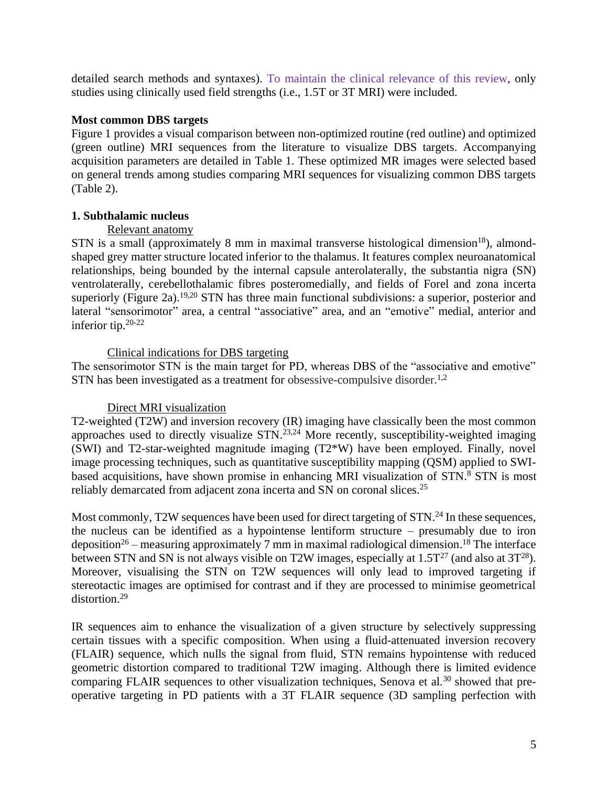detailed search methods and syntaxes). To maintain the clinical relevance of this review, only studies using clinically used field strengths (i.e., 1.5T or 3T MRI) were included.

## **Most common DBS targets**

Figure 1 provides a visual comparison between non-optimized routine (red outline) and optimized (green outline) MRI sequences from the literature to visualize DBS targets. Accompanying acquisition parameters are detailed in Table 1. These optimized MR images were selected based on general trends among studies comparing MRI sequences for visualizing common DBS targets (Table 2).

## **1. Subthalamic nucleus**

## Relevant anatomy

STN is a small (approximately 8 mm in maximal transverse histological dimension<sup>18</sup>), almondshaped grey matter structure located inferior to the thalamus. It features complex neuroanatomical relationships, being bounded by the internal capsule anterolaterally, the substantia nigra (SN) ventrolaterally, cerebellothalamic fibres posteromedially, and fields of Forel and zona incerta superiorly (Figure 2a).<sup>19,20</sup> STN has three main functional subdivisions: a superior, posterior and lateral "sensorimotor" area, a central "associative" area, and an "emotive" medial, anterior and inferior tip. 20-22

## Clinical indications for DBS targeting

The sensorimotor STN is the main target for PD, whereas DBS of the "associative and emotive" STN has been investigated as a treatment for obsessive-compulsive disorder.<sup>1,2</sup>

# Direct MRI visualization

T2-weighted (T2W) and inversion recovery (IR) imaging have classically been the most common approaches used to directly visualize  $STN$ .<sup>23,24</sup> More recently, susceptibility-weighted imaging (SWI) and T2-star-weighted magnitude imaging (T2\*W) have been employed. Finally, novel image processing techniques, such as quantitative susceptibility mapping (QSM) applied to SWIbased acquisitions, have shown promise in enhancing MRI visualization of STN.<sup>8</sup> STN is most reliably demarcated from adjacent zona incerta and SN on coronal slices.<sup>25</sup>

Most commonly, T2W sequences have been used for direct targeting of STN.<sup>24</sup> In these sequences, the nucleus can be identified as a hypointense lentiform structure – presumably due to iron deposition<sup>26</sup> – measuring approximately 7 mm in maximal radiological dimension.<sup>18</sup> The interface between STN and SN is not always visible on T2W images, especially at  $1.5T^{27}$  (and also at  $3T^{28}$ ). Moreover, visualising the STN on T2W sequences will only lead to improved targeting if stereotactic images are optimised for contrast and if they are processed to minimise geometrical distortion.<sup>29</sup>

IR sequences aim to enhance the visualization of a given structure by selectively suppressing certain tissues with a specific composition. When using a fluid-attenuated inversion recovery (FLAIR) sequence, which nulls the signal from fluid, STN remains hypointense with reduced geometric distortion compared to traditional T2W imaging. Although there is limited evidence comparing FLAIR sequences to other visualization techniques, Senova et al.<sup>30</sup> showed that preoperative targeting in PD patients with a 3T FLAIR sequence (3D sampling perfection with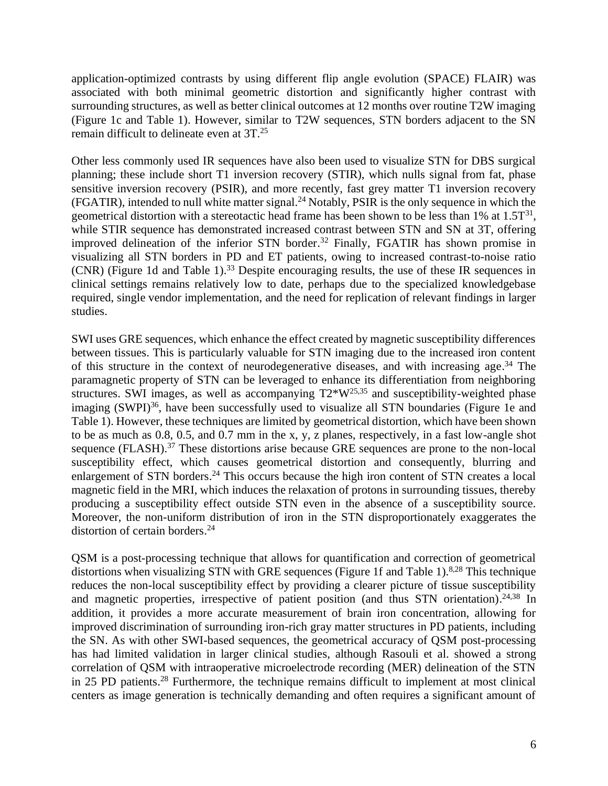application-optimized contrasts by using different flip angle evolution (SPACE) FLAIR) was associated with both minimal geometric distortion and significantly higher contrast with surrounding structures, as well as better clinical outcomes at 12 months over routine T2W imaging (Figure 1c and Table 1). However, similar to T2W sequences, STN borders adjacent to the SN remain difficult to delineate even at 3T. 25

Other less commonly used IR sequences have also been used to visualize STN for DBS surgical planning; these include short T1 inversion recovery (STIR), which nulls signal from fat, phase sensitive inversion recovery (PSIR), and more recently, fast grey matter T1 inversion recovery (FGATIR), intended to null white matter signal. <sup>24</sup> Notably, PSIR is the only sequence in which the geometrical distortion with a stereotactic head frame has been shown to be less than  $1\%$  at  $1.5T^{31}$ , while STIR sequence has demonstrated increased contrast between STN and SN at 3T, offering improved delineation of the inferior STN border. <sup>32</sup> Finally, FGATIR has shown promise in visualizing all STN borders in PD and ET patients, owing to increased contrast-to-noise ratio (CNR) (Figure 1d and Table 1). <sup>33</sup> Despite encouraging results, the use of these IR sequences in clinical settings remains relatively low to date, perhaps due to the specialized knowledgebase required, single vendor implementation, and the need for replication of relevant findings in larger studies.

SWI uses GRE sequences, which enhance the effect created by magnetic susceptibility differences between tissues. This is particularly valuable for STN imaging due to the increased iron content of this structure in the context of neurodegenerative diseases, and with increasing age. <sup>34</sup> The paramagnetic property of STN can be leveraged to enhance its differentiation from neighboring structures. SWI images, as well as accompanying  $T2*W^{25,35}$  and susceptibility-weighted phase imaging (SWPI)<sup>36</sup>, have been successfully used to visualize all STN boundaries (Figure 1e and Table 1). However, these techniques are limited by geometrical distortion, which have been shown to be as much as 0.8, 0.5, and 0.7 mm in the x, y, z planes, respectively, in a fast low-angle shot sequence (FLASH).<sup>37</sup> These distortions arise because GRE sequences are prone to the non-local susceptibility effect, which causes geometrical distortion and consequently, blurring and enlargement of STN borders.<sup>24</sup> This occurs because the high iron content of STN creates a local magnetic field in the MRI, which induces the relaxation of protons in surrounding tissues, thereby producing a susceptibility effect outside STN even in the absence of a susceptibility source. Moreover, the non-uniform distribution of iron in the STN disproportionately exaggerates the distortion of certain borders. 24

QSM is a post-processing technique that allows for quantification and correction of geometrical distortions when visualizing STN with GRE sequences (Figure 1f and Table 1).<sup>8,28</sup> This technique reduces the non-local susceptibility effect by providing a clearer picture of tissue susceptibility and magnetic properties, irrespective of patient position (and thus STN orientation).<sup>24,38</sup> In addition, it provides a more accurate measurement of brain iron concentration, allowing for improved discrimination of surrounding iron-rich gray matter structures in PD patients, including the SN. As with other SWI-based sequences, the geometrical accuracy of QSM post-processing has had limited validation in larger clinical studies, although Rasouli et al. showed a strong correlation of QSM with intraoperative microelectrode recording (MER) delineation of the STN in 25 PD patients. <sup>28</sup> Furthermore, the technique remains difficult to implement at most clinical centers as image generation is technically demanding and often requires a significant amount of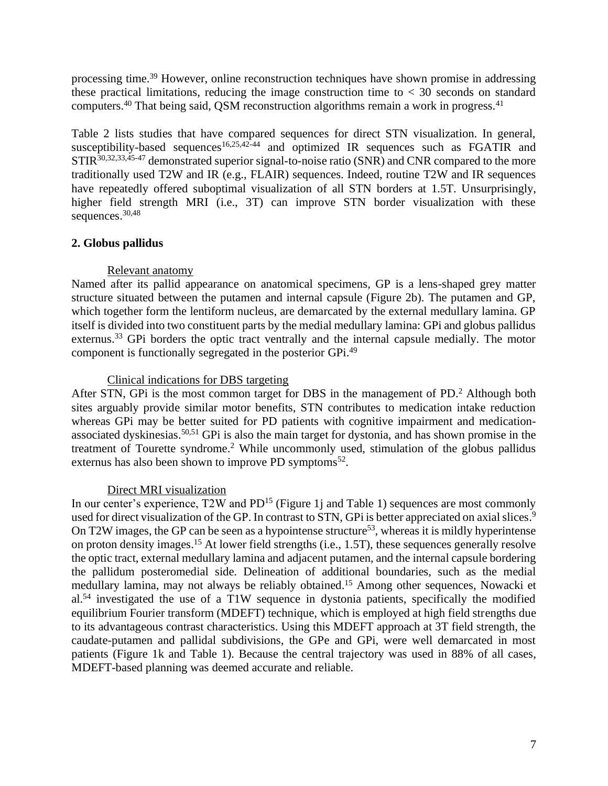processing time.<sup>39</sup> However, online reconstruction techniques have shown promise in addressing these practical limitations, reducing the image construction time to  $<$  30 seconds on standard computers.<sup>40</sup> That being said, QSM reconstruction algorithms remain a work in progress.<sup>41</sup>

Table 2 lists studies that have compared sequences for direct STN visualization. In general, susceptibility-based sequences<sup>16,25,42-44</sup> and optimized IR sequences such as FGATIR and STIR<sup>30,32,33,45-47</sup> demonstrated superior signal-to-noise ratio (SNR) and CNR compared to the more traditionally used T2W and IR (e.g., FLAIR) sequences. Indeed, routine T2W and IR sequences have repeatedly offered suboptimal visualization of all STN borders at 1.5T. Unsurprisingly, higher field strength MRI (i.e., 3T) can improve STN border visualization with these sequences. 30,48

## **2. Globus pallidus**

## Relevant anatomy

Named after its pallid appearance on anatomical specimens, GP is a lens-shaped grey matter structure situated between the putamen and internal capsule (Figure 2b). The putamen and GP, which together form the lentiform nucleus, are demarcated by the external medullary lamina. GP itself is divided into two constituent parts by the medial medullary lamina: GPi and globus pallidus externus.<sup>33</sup> GPi borders the optic tract ventrally and the internal capsule medially. The motor component is functionally segregated in the posterior GPi.<sup>49</sup>

## Clinical indications for DBS targeting

After STN, GPi is the most common target for DBS in the management of PD. <sup>2</sup> Although both sites arguably provide similar motor benefits, STN contributes to medication intake reduction whereas GPi may be better suited for PD patients with cognitive impairment and medicationassociated dyskinesias.<sup>50,51</sup> GPi is also the main target for dystonia, and has shown promise in the treatment of Tourette syndrome. <sup>2</sup> While uncommonly used, stimulation of the globus pallidus externus has also been shown to improve PD symptoms $52$ .

#### Direct MRI visualization

In our center's experience, T2W and PD<sup>15</sup> (Figure 1j and Table 1) sequences are most commonly used for direct visualization of the GP. In contrast to STN, GPi is better appreciated on axial slices.<sup>9</sup> On T2W images, the GP can be seen as a hypointense structure<sup>53</sup>, whereas it is mildly hyperintense on proton density images.<sup>15</sup> At lower field strengths (i.e., 1.5T), these sequences generally resolve the optic tract, external medullary lamina and adjacent putamen, and the internal capsule bordering the pallidum posteromedial side. Delineation of additional boundaries, such as the medial medullary lamina, may not always be reliably obtained. <sup>15</sup> Among other sequences, Nowacki et al.<sup>54</sup> investigated the use of a T1W sequence in dystonia patients, specifically the modified equilibrium Fourier transform (MDEFT) technique, which is employed at high field strengths due to its advantageous contrast characteristics. Using this MDEFT approach at 3T field strength, the caudate-putamen and pallidal subdivisions, the GPe and GPi, were well demarcated in most patients (Figure 1k and Table 1). Because the central trajectory was used in 88% of all cases, MDEFT-based planning was deemed accurate and reliable.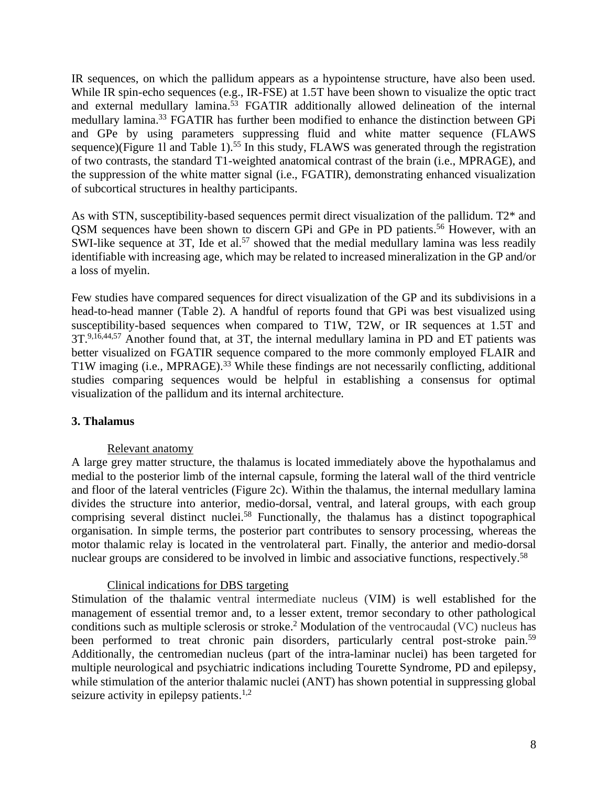IR sequences, on which the pallidum appears as a hypointense structure, have also been used. While IR spin-echo sequences (e.g., IR-FSE) at 1.5T have been shown to visualize the optic tract and external medullary lamina. <sup>53</sup> FGATIR additionally allowed delineation of the internal medullary lamina. <sup>33</sup> FGATIR has further been modified to enhance the distinction between GPi and GPe by using parameters suppressing fluid and white matter sequence (FLAWS sequence)(Figure 11 and Table 1).<sup>55</sup> In this study, FLAWS was generated through the registration of two contrasts, the standard T1-weighted anatomical contrast of the brain (i.e., MPRAGE), and the suppression of the white matter signal (i.e., FGATIR), demonstrating enhanced visualization of subcortical structures in healthy participants.

As with STN, susceptibility-based sequences permit direct visualization of the pallidum. T2\* and QSM sequences have been shown to discern GPi and GPe in PD patients. <sup>56</sup> However, with an SWI-like sequence at 3T, Ide et al.<sup>57</sup> showed that the medial medullary lamina was less readily identifiable with increasing age, which may be related to increased mineralization in the GP and/or a loss of myelin.

Few studies have compared sequences for direct visualization of the GP and its subdivisions in a head-to-head manner (Table 2). A handful of reports found that GPi was best visualized using susceptibility-based sequences when compared to T1W, T2W, or IR sequences at 1.5T and 3T.<sup>9,16,44,57</sup> Another found that, at 3T, the internal medullary lamina in PD and ET patients was better visualized on FGATIR sequence compared to the more commonly employed FLAIR and T1W imaging (i.e., MPRAGE).<sup>33</sup> While these findings are not necessarily conflicting, additional studies comparing sequences would be helpful in establishing a consensus for optimal visualization of the pallidum and its internal architecture.

# **3. Thalamus**

# Relevant anatomy

A large grey matter structure, the thalamus is located immediately above the hypothalamus and medial to the posterior limb of the internal capsule, forming the lateral wall of the third ventricle and floor of the lateral ventricles (Figure 2c). Within the thalamus, the internal medullary lamina divides the structure into anterior, medio-dorsal, ventral, and lateral groups, with each group comprising several distinct nuclei.<sup>58</sup> Functionally, the thalamus has a distinct topographical organisation. In simple terms, the posterior part contributes to sensory processing, whereas the motor thalamic relay is located in the ventrolateral part. Finally, the anterior and medio-dorsal nuclear groups are considered to be involved in limbic and associative functions, respectively.<sup>58</sup>

#### Clinical indications for DBS targeting

Stimulation of the thalamic ventral intermediate nucleus (VIM) is well established for the management of essential tremor and, to a lesser extent, tremor secondary to other pathological conditions such as multiple sclerosis or stroke. <sup>2</sup> Modulation of the ventrocaudal (VC) nucleus has been performed to treat chronic pain disorders, particularly central post-stroke pain.<sup>59</sup> Additionally, the centromedian nucleus (part of the intra-laminar nuclei) has been targeted for multiple neurological and psychiatric indications including Tourette Syndrome, PD and epilepsy, while stimulation of the anterior thalamic nuclei (ANT) has shown potential in suppressing global seizure activity in epilepsy patients.<sup>1,2</sup>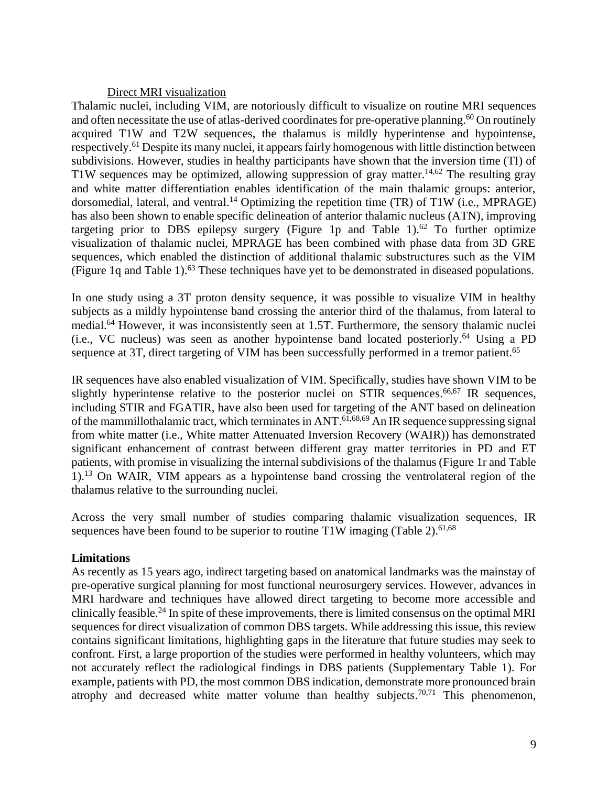#### Direct MRI visualization

Thalamic nuclei, including VIM, are notoriously difficult to visualize on routine MRI sequences and often necessitate the use of atlas-derived coordinates for pre-operative planning.<sup>60</sup> On routinely acquired T1W and T2W sequences, the thalamus is mildly hyperintense and hypointense, respectively.<sup>61</sup> Despite its many nuclei, it appears fairly homogenous with little distinction between subdivisions. However, studies in healthy participants have shown that the inversion time (TI) of T1W sequences may be optimized, allowing suppression of gray matter.<sup>14,62</sup> The resulting gray and white matter differentiation enables identification of the main thalamic groups: anterior, dorsomedial, lateral, and ventral.<sup>14</sup> Optimizing the repetition time (TR) of T1W (i.e., MPRAGE) has also been shown to enable specific delineation of anterior thalamic nucleus (ATN), improving targeting prior to DBS epilepsy surgery (Figure 1p and Table 1).<sup>62</sup> To further optimize visualization of thalamic nuclei, MPRAGE has been combined with phase data from 3D GRE sequences, which enabled the distinction of additional thalamic substructures such as the VIM (Figure 1q and Table 1).<sup>63</sup> These techniques have yet to be demonstrated in diseased populations.

In one study using a 3T proton density sequence, it was possible to visualize VIM in healthy subjects as a mildly hypointense band crossing the anterior third of the thalamus, from lateral to medial. <sup>64</sup> However, it was inconsistently seen at 1.5T. Furthermore, the sensory thalamic nuclei (i.e., VC nucleus) was seen as another hypointense band located posteriorly. <sup>64</sup> Using a PD sequence at 3T, direct targeting of VIM has been successfully performed in a tremor patient.<sup>65</sup>

IR sequences have also enabled visualization of VIM. Specifically, studies have shown VIM to be slightly hyperintense relative to the posterior nuclei on STIR sequences.<sup>66,67</sup> IR sequences, including STIR and FGATIR, have also been used for targeting of the ANT based on delineation of the mammillothalamic tract, which terminates in ANT. 61,68,69 An IR sequence suppressing signal from white matter (i.e., White matter Attenuated Inversion Recovery (WAIR)) has demonstrated significant enhancement of contrast between different gray matter territories in PD and ET patients, with promise in visualizing the internal subdivisions of the thalamus (Figure 1r and Table 1). <sup>13</sup> On WAIR, VIM appears as a hypointense band crossing the ventrolateral region of the thalamus relative to the surrounding nuclei.

Across the very small number of studies comparing thalamic visualization sequences, IR sequences have been found to be superior to routine T1W imaging (Table 2).<sup>61,68</sup>

#### **Limitations**

As recently as 15 years ago, indirect targeting based on anatomical landmarks was the mainstay of pre-operative surgical planning for most functional neurosurgery services. However, advances in MRI hardware and techniques have allowed direct targeting to become more accessible and clinically feasible. <sup>24</sup> In spite of these improvements, there is limited consensus on the optimal MRI sequences for direct visualization of common DBS targets. While addressing this issue, this review contains significant limitations, highlighting gaps in the literature that future studies may seek to confront. First, a large proportion of the studies were performed in healthy volunteers, which may not accurately reflect the radiological findings in DBS patients (Supplementary Table 1). For example, patients with PD, the most common DBS indication, demonstrate more pronounced brain atrophy and decreased white matter volume than healthy subjects.<sup>70,71</sup> This phenomenon,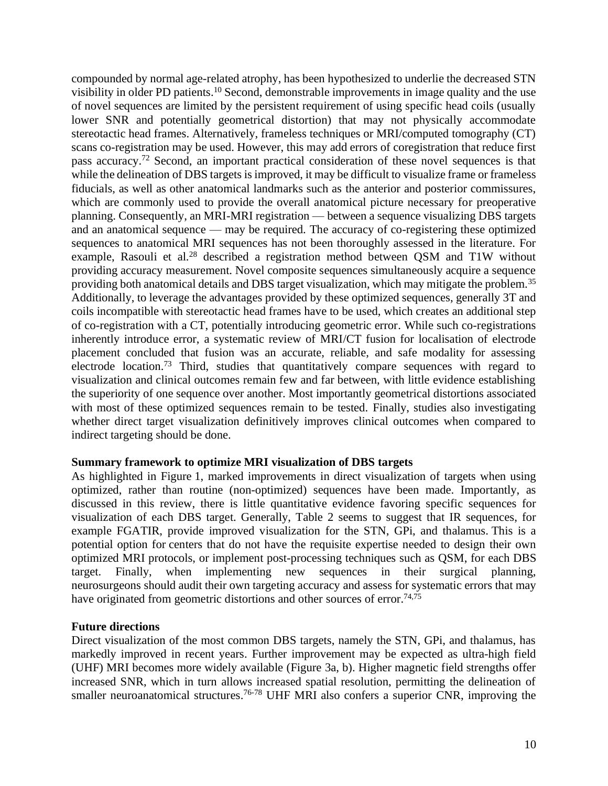compounded by normal age-related atrophy, has been hypothesized to underlie the decreased STN visibility in older PD patients. <sup>10</sup> Second, demonstrable improvements in image quality and the use of novel sequences are limited by the persistent requirement of using specific head coils (usually lower SNR and potentially geometrical distortion) that may not physically accommodate stereotactic head frames. Alternatively, frameless techniques or MRI/computed tomography (CT) scans co-registration may be used. However, this may add errors of coregistration that reduce first pass accuracy.<sup>72</sup> Second, an important practical consideration of these novel sequences is that while the delineation of DBS targets is improved, it may be difficult to visualize frame or frameless fiducials, as well as other anatomical landmarks such as the anterior and posterior commissures, which are commonly used to provide the overall anatomical picture necessary for preoperative planning. Consequently, an MRI-MRI registration — between a sequence visualizing DBS targets and an anatomical sequence — may be required. The accuracy of co-registering these optimized sequences to anatomical MRI sequences has not been thoroughly assessed in the literature. For example, Rasouli et al.<sup>28</sup> described a registration method between QSM and T1W without providing accuracy measurement. Novel composite sequences simultaneously acquire a sequence providing both anatomical details and DBS target visualization, which may mitigate the problem.<sup>35</sup> Additionally, to leverage the advantages provided by these optimized sequences, generally 3T and coils incompatible with stereotactic head frames have to be used, which creates an additional step of co-registration with a CT, potentially introducing geometric error. While such co-registrations inherently introduce error, a systematic review of MRI/CT fusion for localisation of electrode placement concluded that fusion was an accurate, reliable, and safe modality for assessing electrode location.<sup>73</sup> Third, studies that quantitatively compare sequences with regard to visualization and clinical outcomes remain few and far between, with little evidence establishing the superiority of one sequence over another. Most importantly geometrical distortions associated with most of these optimized sequences remain to be tested. Finally, studies also investigating whether direct target visualization definitively improves clinical outcomes when compared to indirect targeting should be done.

#### **Summary framework to optimize MRI visualization of DBS targets**

As highlighted in Figure 1, marked improvements in direct visualization of targets when using optimized, rather than routine (non-optimized) sequences have been made. Importantly, as discussed in this review, there is little quantitative evidence favoring specific sequences for visualization of each DBS target. Generally, Table 2 seems to suggest that IR sequences, for example FGATIR, provide improved visualization for the STN, GPi, and thalamus. This is a potential option for centers that do not have the requisite expertise needed to design their own optimized MRI protocols, or implement post-processing techniques such as QSM, for each DBS target. Finally, when implementing new sequences in their surgical planning, neurosurgeons should audit their own targeting accuracy and assess for systematic errors that may have originated from geometric distortions and other sources of error.<sup>74,75</sup>

#### **Future directions**

Direct visualization of the most common DBS targets, namely the STN, GPi, and thalamus, has markedly improved in recent years. Further improvement may be expected as ultra-high field (UHF) MRI becomes more widely available (Figure 3a, b). Higher magnetic field strengths offer increased SNR, which in turn allows increased spatial resolution, permitting the delineation of smaller neuroanatomical structures.<sup>76-78</sup> UHF MRI also confers a superior CNR, improving the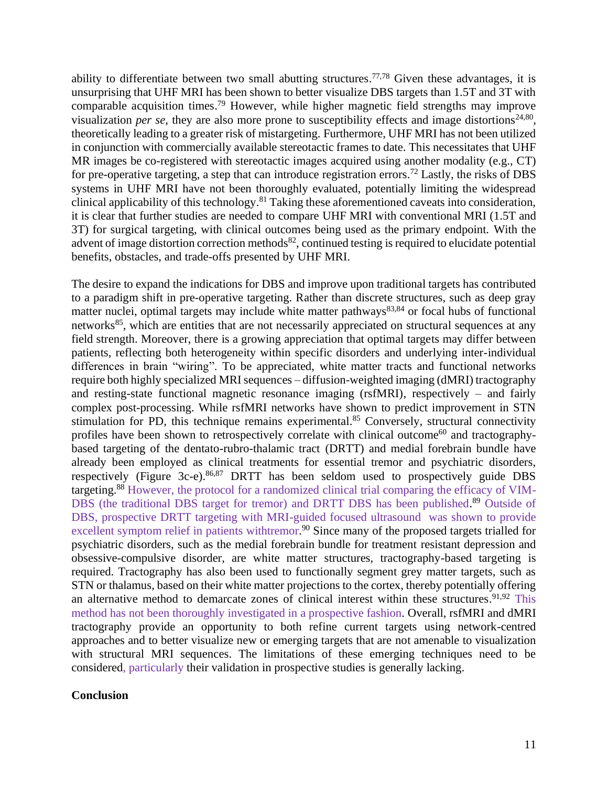ability to differentiate between two small abutting structures.<sup> $77,78$ </sup> Given these advantages, it is unsurprising that UHF MRI has been shown to better visualize DBS targets than 1.5T and 3T with comparable acquisition times. <sup>79</sup> However, while higher magnetic field strengths may improve visualization *per se*, they are also more prone to susceptibility effects and image distortions<sup>24,80</sup>, theoretically leading to a greater risk of mistargeting. Furthermore, UHF MRI has not been utilized in conjunction with commercially available stereotactic frames to date. This necessitates that UHF MR images be co-registered with stereotactic images acquired using another modality (e.g., CT) for pre-operative targeting, a step that can introduce registration errors. <sup>72</sup> Lastly, the risks of DBS systems in UHF MRI have not been thoroughly evaluated, potentially limiting the widespread clinical applicability of this technology. <sup>81</sup> Taking these aforementioned caveats into consideration, it is clear that further studies are needed to compare UHF MRI with conventional MRI (1.5T and 3T) for surgical targeting, with clinical outcomes being used as the primary endpoint. With the advent of image distortion correction methods<sup>82</sup>, continued testing is required to elucidate potential benefits, obstacles, and trade-offs presented by UHF MRI.

The desire to expand the indications for DBS and improve upon traditional targets has contributed to a paradigm shift in pre-operative targeting. Rather than discrete structures, such as deep gray matter nuclei, optimal targets may include white matter pathways $83,84$  or focal hubs of functional networks<sup>85</sup>, which are entities that are not necessarily appreciated on structural sequences at any field strength. Moreover, there is a growing appreciation that optimal targets may differ between patients, reflecting both heterogeneity within specific disorders and underlying inter-individual differences in brain "wiring". To be appreciated, white matter tracts and functional networks require both highly specialized MRI sequences – diffusion-weighted imaging (dMRI) tractography and resting-state functional magnetic resonance imaging (rsfMRI), respectively – and fairly complex post-processing. While rsfMRI networks have shown to predict improvement in STN stimulation for PD, this technique remains experimental.<sup>85</sup> Conversely, structural connectivity profiles have been shown to retrospectively correlate with clinical outcome<sup>60</sup> and tractographybased targeting of the dentato-rubro-thalamic tract (DRTT) and medial forebrain bundle have already been employed as clinical treatments for essential tremor and psychiatric disorders, respectively (Figure 3c-e).<sup>86,87</sup> DRTT has been seldom used to prospectively guide DBS targeting.<sup>88</sup> However, the protocol for a randomized clinical trial comparing the efficacy of VIM-DBS (the traditional DBS target for tremor) and DRTT DBS has been published.<sup>89</sup> Outside of DBS, prospective DRTT targeting with MRI-guided focused ultrasound was shown to provide excellent symptom relief in patients withtremor.<sup>90</sup> Since many of the proposed targets trialled for psychiatric disorders, such as the medial forebrain bundle for treatment resistant depression and obsessive-compulsive disorder, are white matter structures, tractography-based targeting is required. Tractography has also been used to functionally segment grey matter targets, such as STN or thalamus, based on their white matter projections to the cortex, thereby potentially offering an alternative method to demarcate zones of clinical interest within these structures. 91,92 This method has not been thoroughly investigated in a prospective fashion. Overall, rsfMRI and dMRI tractography provide an opportunity to both refine current targets using network-centred approaches and to better visualize new or emerging targets that are not amenable to visualization with structural MRI sequences. The limitations of these emerging techniques need to be considered, particularly their validation in prospective studies is generally lacking.

#### **Conclusion**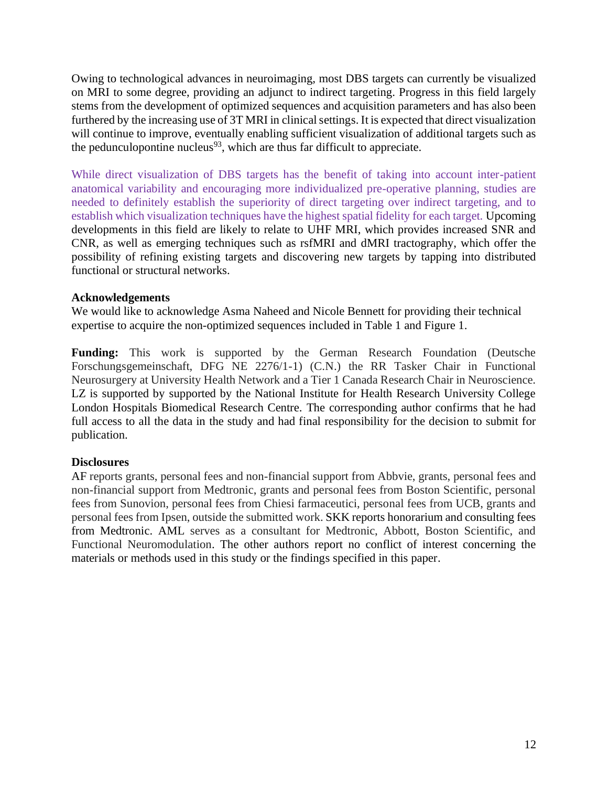Owing to technological advances in neuroimaging, most DBS targets can currently be visualized on MRI to some degree, providing an adjunct to indirect targeting. Progress in this field largely stems from the development of optimized sequences and acquisition parameters and has also been furthered by the increasing use of 3T MRI in clinical settings. It is expected that direct visualization will continue to improve, eventually enabling sufficient visualization of additional targets such as the pedunculopontine nucleus<sup>93</sup>, which are thus far difficult to appreciate.

While direct visualization of DBS targets has the benefit of taking into account inter-patient anatomical variability and encouraging more individualized pre-operative planning, studies are needed to definitely establish the superiority of direct targeting over indirect targeting, and to establish which visualization techniques have the highest spatial fidelity for each target. Upcoming developments in this field are likely to relate to UHF MRI, which provides increased SNR and CNR, as well as emerging techniques such as rsfMRI and dMRI tractography, which offer the possibility of refining existing targets and discovering new targets by tapping into distributed functional or structural networks.

# **Acknowledgements**

We would like to acknowledge Asma Naheed and Nicole Bennett for providing their technical expertise to acquire the non-optimized sequences included in Table 1 and Figure 1.

**Funding:** This work is supported by the German Research Foundation (Deutsche Forschungsgemeinschaft, DFG NE 2276/1-1) (C.N.) the RR Tasker Chair in Functional Neurosurgery at University Health Network and a Tier 1 Canada Research Chair in Neuroscience. LZ is supported by supported by the National Institute for Health Research University College London Hospitals Biomedical Research Centre. The corresponding author confirms that he had full access to all the data in the study and had final responsibility for the decision to submit for publication.

# **Disclosures**

AF reports grants, personal fees and non-financial support from Abbvie, grants, personal fees and non-financial support from Medtronic, grants and personal fees from Boston Scientific, personal fees from Sunovion, personal fees from Chiesi farmaceutici, personal fees from UCB, grants and personal fees from Ipsen, outside the submitted work. SKK reports honorarium and consulting fees from Medtronic. AML serves as a consultant for Medtronic, Abbott, Boston Scientific, and Functional Neuromodulation. The other authors report no conflict of interest concerning the materials or methods used in this study or the findings specified in this paper.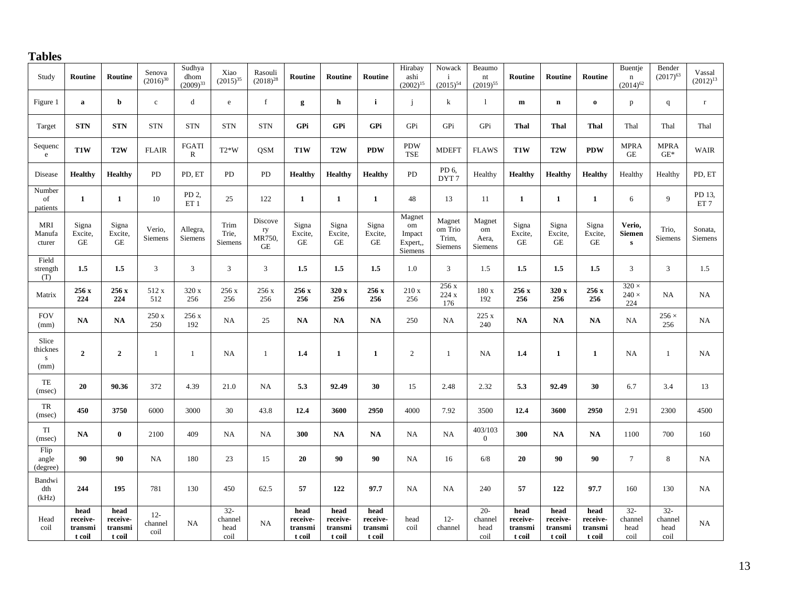# **Tables**

| Study                                  | Routine                               | Routine                                 | Senova<br>$(2016)^{30}$   | Sudhya<br>dhom<br>$(2009)^{33}$ | Xiao<br>$(2015)^{35}$             | Rasouli<br>$(2018)^{28}$      | Routine                               | Routine                               | Routine                               | Hirabay<br>ashi<br>$(2002)^{15}$              | Nowack<br>$\mathbf{i}$<br>$(2015)^{54}$      | Beaumo<br>$\mathop{\rm nt}\nolimits$<br>$(2019)^{55}$ | Routine                               | Routine                               | Routine                               | Buentje<br>$\mathbf n$<br>$(2014)^{62}$ | Bender<br>$(2017)^{63}$           | Vassal<br>$(2012)^{13}$                |
|----------------------------------------|---------------------------------------|-----------------------------------------|---------------------------|---------------------------------|-----------------------------------|-------------------------------|---------------------------------------|---------------------------------------|---------------------------------------|-----------------------------------------------|----------------------------------------------|-------------------------------------------------------|---------------------------------------|---------------------------------------|---------------------------------------|-----------------------------------------|-----------------------------------|----------------------------------------|
| Figure 1                               | $\mathbf a$                           | b                                       | $\mathbf c$               | d                               | ${\bf e}$                         | f                             | g                                     | h                                     | $\mathbf{i}$                          | j                                             | k                                            | 1                                                     | $\mathbf{m}$                          | $\mathbf n$                           | $\mathbf{o}$                          | p                                       | $\mathbf{q}$                      | $\mathbf r$                            |
| Target                                 | <b>STN</b>                            | <b>STN</b>                              | <b>STN</b>                | <b>STN</b>                      | <b>STN</b>                        | <b>STN</b>                    | GPi                                   | GPi                                   | GPi                                   | GPi                                           | GPi                                          | GPi                                                   | Thal                                  | <b>Thal</b>                           | Thal                                  | Thal                                    | Thal                              | Thal                                   |
| Sequenc<br>$\rm e$                     | T1W                                   | T <sub>2</sub> W                        | <b>FLAIR</b>              | FGATI<br>${\bf R}$              | $T2*W$                            | <b>QSM</b>                    | T1W                                   | T <sub>2</sub> W                      | <b>PDW</b>                            | <b>PDW</b><br><b>TSE</b>                      | <b>MDEFT</b>                                 | <b>FLAWS</b>                                          | T <sub>1</sub> W                      | T <sub>2</sub> W                      | <b>PDW</b>                            | <b>MPRA</b><br>$\operatorname{GE}$      | <b>MPRA</b><br>$\mathrm{GE}^*$    | <b>WAIR</b>                            |
| Disease                                | <b>Healthy</b>                        | Healthy                                 | PD                        | PD, ET                          | PD                                | PD                            | <b>Healthy</b>                        | Healthy                               | <b>Healthy</b>                        | <b>PD</b>                                     | PD 6,<br>DYT <sub>7</sub>                    | Healthy                                               | <b>Healthy</b>                        | <b>Healthy</b>                        | <b>Healthy</b>                        | Healthy                                 | Healthy                           | PD, ET                                 |
| Number<br>of<br>patients               | $\mathbf{1}$                          | $\mathbf{1}$                            | 10                        | PD 2,<br>ET <sub>1</sub>        | 25                                | 122                           | $\mathbf{1}$                          | $\mathbf{1}$                          | $\mathbf{1}$                          | 48                                            | 13                                           | 11                                                    | $\mathbf{1}$                          | $\mathbf{1}$                          | $\mathbf{1}$                          | 6                                       | 9                                 | PD 13,<br>$\mathop{\rm ET}\nolimits 7$ |
| <b>MRI</b><br>Manufa<br>cturer         | Signa<br>Excite,<br>$\rm{GE}$         | Signa<br>Excite,<br>$\operatorname{GE}$ | Verio,<br>Siemens         | Allegra,<br><b>Siemens</b>      | Trim<br>Trie,<br>Siemens          | Discove<br>ry<br>MR750,<br>GE | Signa<br>Excite,<br>$\rm GE$          | Signa<br>Excite,<br>GE                | Signa<br>Excite,<br>GE                | Magnet<br>om<br>Impact<br>Expert,,<br>Siemens | Magnet<br>om Trio<br>Trim,<br><b>Siemens</b> | Magnet<br>om<br>Aera,<br>Siemens                      | Signa<br>Excite,<br>GE                | Signa<br>Excite,<br><b>GE</b>         | Signa<br>Excite,<br>GE                | Verio,<br><b>Siemen</b><br>${\bf s}$    | Trio,<br>Siemens                  | Sonata,<br><b>Siemens</b>              |
| Field<br>strength<br>(T)               | 1.5                                   | 1.5                                     | 3                         | 3                               | 3                                 | $\overline{3}$                | 1.5                                   | 1.5                                   | 1.5                                   | 1.0                                           | 3                                            | 1.5                                                   | 1.5                                   | 1.5                                   | 1.5                                   | 3                                       | 3                                 | 1.5                                    |
| Matrix                                 | 256 x<br>224                          | 256 x<br>224                            | 512 x<br>512              | 320 x<br>256                    | 256 x<br>256                      | 256 x<br>256                  | 256 x<br>256                          | 320 x<br>256                          | 256 x<br>256                          | 210x<br>256                                   | 256x<br>$224~\mathrm{x}$<br>176              | 180 x<br>192                                          | 256 x<br>256                          | 320 x<br>256                          | 256 x<br>256                          | $320 \times$<br>$240 \times$<br>224     | NA                                | NA                                     |
| <b>FOV</b><br>(mm)                     | <b>NA</b>                             | NA                                      | 250 x<br>250              | 256 x<br>192                    | <b>NA</b>                         | 25                            | <b>NA</b>                             | <b>NA</b>                             | <b>NA</b>                             | 250                                           | <b>NA</b>                                    | 225 x<br>240                                          | NA                                    | <b>NA</b>                             | <b>NA</b>                             | <b>NA</b>                               | $256 \times$<br>256               | NA                                     |
| Slice<br>thicknes<br>${\bf S}$<br>(mm) | $\overline{2}$                        | $\mathbf{2}$                            | $\mathbf{1}$              | 1                               | NA                                | $\overline{1}$                | 1.4                                   | $\mathbf{1}$                          | $\mathbf{1}$                          | 2                                             | $\mathbf{1}$                                 | NA                                                    | 1.4                                   | $\mathbf{1}$                          | $\mathbf{1}$                          | <b>NA</b>                               | 1                                 | NA                                     |
| $\ensuremath{\mathsf{TE}}$<br>(msec)   | 20                                    | 90.36                                   | 372                       | 4.39                            | 21.0                              | NA                            | 5.3                                   | 92.49                                 | 30                                    | 15                                            | 2.48                                         | 2.32                                                  | 5.3                                   | 92.49                                 | 30                                    | 6.7                                     | 3.4                               | 13                                     |
| ${\rm TR}$<br>(msec)                   | 450                                   | 3750                                    | 6000                      | 3000                            | 30                                | 43.8                          | 12.4                                  | 3600                                  | 2950                                  | 4000                                          | 7.92                                         | 3500                                                  | 12.4                                  | 3600                                  | 2950                                  | 2.91                                    | 2300                              | 4500                                   |
| TI<br>(msec)                           | NA                                    | $\bf{0}$                                | 2100                      | 409                             | <b>NA</b>                         | NA                            | 300                                   | NA                                    | $\mathbf{NA}$                         | NA                                            | NA                                           | 403/103<br>$\overline{0}$                             | 300                                   | <b>NA</b>                             | <b>NA</b>                             | 1100                                    | 700                               | 160                                    |
| Flip<br>angle<br>(degree)              | 90                                    | 90                                      | NA                        | 180                             | 23                                | 15                            | 20                                    | 90                                    | 90                                    | NA                                            | 16                                           | 6/8                                                   | 20                                    | 90                                    | 90                                    | $7\overline{ }$                         | 8                                 | NA                                     |
| Bandwi<br>dth<br>(kHz)                 | 244                                   | 195                                     | 781                       | 130                             | 450                               | 62.5                          | 57                                    | 122                                   | 97.7                                  | NA                                            | <b>NA</b>                                    | 240                                                   | 57                                    | 122                                   | 97.7                                  | 160                                     | 130                               | NA                                     |
| Head<br>coil                           | head<br>receive-<br>transmi<br>t coil | head<br>receive-<br>transmi<br>t coil   | $12 -$<br>channel<br>coil | NA                              | $32 -$<br>channel<br>head<br>coil | NA                            | head<br>receive-<br>transmi<br>t coil | head<br>receive-<br>transmi<br>t coil | head<br>receive-<br>transmi<br>t coil | head<br>coil                                  | $12 -$<br>channel                            | $20 -$<br>channel<br>head<br>coil                     | head<br>receive-<br>transmi<br>t coil | head<br>receive-<br>transmi<br>t coil | head<br>receive-<br>transmi<br>t coil | $32 -$<br>channel<br>head<br>coil       | $32 -$<br>channel<br>head<br>coil | NA                                     |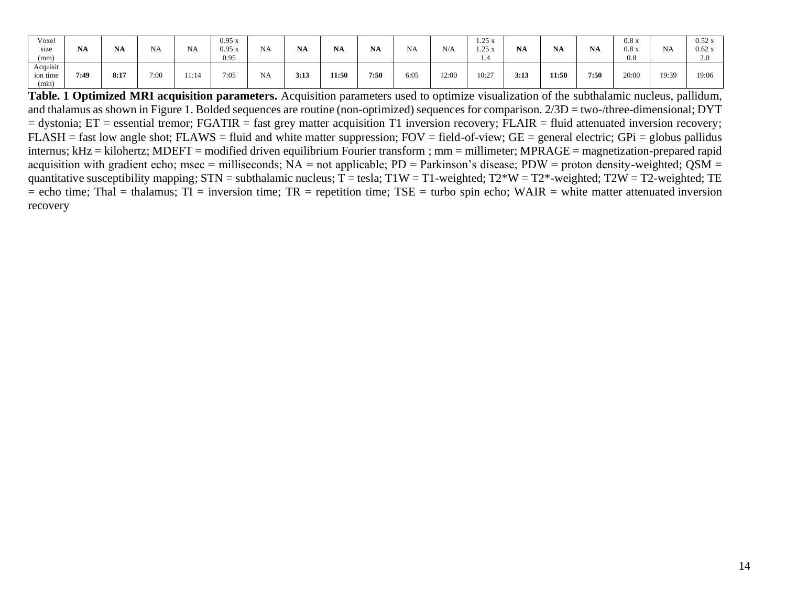| Voxel<br>size<br>(mm)         | <b>NA</b> | <b>NA</b> | <b>NA</b> | <b>NA</b> | 0.95x<br>0.95x<br>0.95 | <b>NA</b> | <b>NA</b> | <b>NA</b> | <b>NA</b> | <b>NA</b> | N/A   | 1.25x<br>1.25x<br>1.4 | <b>NA</b> | <b>NA</b> | <b>NA</b> | 0.8 x<br>0.8 x<br>0.8 | NA    | $0.52 \text{ x}$<br>0.62x<br>2.0 |
|-------------------------------|-----------|-----------|-----------|-----------|------------------------|-----------|-----------|-----------|-----------|-----------|-------|-----------------------|-----------|-----------|-----------|-----------------------|-------|----------------------------------|
| Acquisit<br>ion time<br>(min) | 7:49      | 8:17      | 7:00      | 11:14     | 7:05                   | <b>NA</b> | 3:13      | 11:50     | 7:50      | 6:05      | 12:00 | 10:27                 | 3:13      | 11:50     | 7:50      | 20:00                 | 19:39 | 19:06                            |

**Table. 1 Optimized MRI acquisition parameters.** Acquisition parameters used to optimize visualization of the subthalamic nucleus, pallidum, and thalamus as shown in Figure 1. Bolded sequences are routine (non-optimized) sequences for comparison. 2/3D = two-/three-dimensional; DYT = dystonia; ET = essential tremor; FGATIR = fast grey matter acquisition T1 inversion recovery; FLAIR = fluid attenuated inversion recovery;  $FLASH = fast low angle shot; FLAWS = fluid and white matter suppression; FOV = field-of-view; GE = general electric; GPi = globus pallidus$ internus; kHz = kilohertz; MDEFT = modified driven equilibrium Fourier transform ; mm = millimeter; MPRAGE = magnetization-prepared rapid acquisition with gradient echo; msec = milliseconds;  $NA = not$  applicable;  $PD =$  Parkinson's disease;  $PDW =$  proton density-weighted;  $OSM =$ quantitative susceptibility mapping;  $STN =$  subthalamic nucleus;  $T =$  tesla;  $T1W = T1$ -weighted;  $T2*W = T2*$ -weighted;  $T2W = T2$ -weighted;  $TE$  $=$  echo time; Thal  $=$  thalamus; TI  $=$  inversion time; TR  $=$  repetition time; TSE  $=$  turbo spin echo; WAIR  $=$  white matter attenuated inversion recovery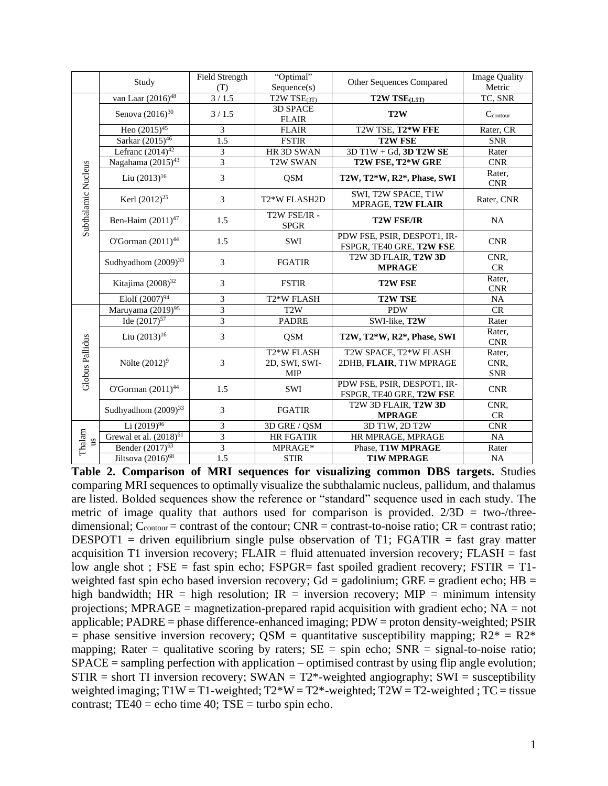|                     | Study                         | Field Strength<br>(T)   | "Optimal"<br>Sequence(s)              | Other Sequences Compared                                | <b>Image Quality</b><br>Metric |  |
|---------------------|-------------------------------|-------------------------|---------------------------------------|---------------------------------------------------------|--------------------------------|--|
|                     | van Laar (2016) <sup>48</sup> | 3/1.5                   | T2W TSE(3T)                           | $T2W$ $TSE$ $(1.5T)$                                    | TC, SNR                        |  |
|                     | Senova $(2016)^{30}$          | 3/1.5                   | <b>3D SPACE</b><br><b>FLAIR</b>       | T2W                                                     | $C_{\text{contour}}$           |  |
|                     | Heo $(2015)^{45}$             | 3                       | <b>FLAIR</b>                          | T2W TSE, T2*W FFE                                       | Rater, CR                      |  |
|                     | Sarkar (2015) <sup>46</sup>   | 1.5                     | <b>FSTIR</b>                          | <b>T2W FSE</b>                                          | <b>SNR</b>                     |  |
|                     | Lefranc $(2014)^{42}$         | 3                       | HR 3D SWAN                            | $3D T1W + Gd$ , $3D T2W SE$                             | Rater                          |  |
|                     | Nagahama $(2015)^{43}$        | $\overline{\mathbf{3}}$ | <b>T2W SWAN</b>                       | T2W FSE, T2*W GRE                                       | <b>CNR</b>                     |  |
| Subthalamic Nucleus | Liu $(2013)^{16}$             | 3                       | <b>QSM</b>                            | T2W, T2*W, R2*, Phase, SWI                              | Rater,<br><b>CNR</b>           |  |
|                     | Kerl $(2012)^{25}$            | 3                       | T <sub>2</sub> *W FLASH <sub>2D</sub> | SWI, T2W SPACE, T1W<br>MPRAGE, T2W FLAIR                | Rater, CNR                     |  |
|                     | Ben-Haim (2011) <sup>47</sup> | 1.5                     | T2W FSE/IR -<br><b>SPGR</b>           | <b>T2W FSE/IR</b>                                       | <b>NA</b>                      |  |
|                     | O'Gorman $(2011)^{44}$        | 1.5                     | <b>SWI</b>                            | PDW FSE, PSIR, DESPOT1, IR-<br>FSPGR, TE40 GRE, T2W FSE | <b>CNR</b>                     |  |
|                     | Sudhyadhom $(2009)^{33}$      | 3                       | <b>FGATIR</b>                         | T2W 3D FLAIR, T2W 3D<br><b>MPRAGE</b>                   | CNR,<br>CR                     |  |
|                     | Kitajima $(2008)^{32}$        | 3                       | <b>FSTIR</b>                          | <b>T2W FSE</b>                                          | Rater,<br><b>CNR</b>           |  |
|                     | Elolf $(2007)^{94}$           | $\overline{3}$          | T <sub>2</sub> *W FLASH               | <b>T2W TSE</b>                                          | NA                             |  |
|                     | Maruyama (2019) <sup>95</sup> | 3                       | T <sub>2</sub> W                      | <b>PDW</b>                                              | CR                             |  |
|                     | Ide $(2017)^{57}$             | 3                       | <b>PADRE</b>                          | SWI-like, T2W                                           | Rater                          |  |
| Globus Pallidus     | Liu $(2013)^{16}$             | $\mathfrak{Z}$          | <b>QSM</b>                            | T2W, T2*W, R2*, Phase, SWI                              | Rater,<br><b>CNR</b>           |  |
|                     |                               |                         | T <sub>2</sub> *W FLASH               | T2W SPACE, T2*W FLASH                                   | Rater,                         |  |
|                     | Nölte $(2012)^9$              | 3                       | 2D, SWI, SWI-                         | 2DHB, FLAIR, T1W MPRAGE                                 | CNR,                           |  |
|                     |                               |                         | <b>MIP</b>                            |                                                         | <b>SNR</b>                     |  |
|                     | O'Gorman $(2011)^{44}$        | 1.5                     | SWI                                   | PDW FSE, PSIR, DESPOT1, IR-<br>FSPGR, TE40 GRE, T2W FSE | <b>CNR</b>                     |  |
|                     | Sudhyadhom $(2009)^{33}$      | 3                       | <b>FGATIR</b>                         | T2W 3D FLAIR, T2W 3D                                    | CNR,                           |  |
|                     |                               |                         |                                       | <b>MPRAGE</b>                                           | CR                             |  |
|                     | Li $(2019)^{96}$              | $\mathfrak{Z}$          | 3D GRE / QSM                          | 3D T1W, 2D T2W                                          | <b>CNR</b>                     |  |
| Thalam<br>SU        | Grewal et al. $(2018)^{61}$   | $\overline{3}$          | <b>HR FGATIR</b>                      | HR MPRAGE, MPRAGE                                       | NA                             |  |
|                     | Bender (2017) <sup>63</sup>   | $\overline{3}$          | MPRAGE*                               | Phase, T1W MPRAGE                                       | Rater                          |  |
|                     | Jiltsova $(2016)^{68}$        | 1.5                     | <b>STIR</b>                           | <b>T1W MPRAGE</b>                                       | $_{\rm NA}$                    |  |

**Table 2. Comparison of MRI sequences for visualizing common DBS targets.** Studies comparing MRI sequences to optimally visualize the subthalamic nucleus, pallidum, and thalamus are listed. Bolded sequences show the reference or "standard" sequence used in each study. The metric of image quality that authors used for comparison is provided.  $2/3D = two$ -/threedimensional;  $C_{\text{contour}} = \text{contrast of the contour}$ ;  $\text{CNR} = \text{contrast-to-noise ratio}$ ;  $\text{CR} = \text{contrast ratio}$ ; DESPOT1 = driven equilibrium single pulse observation of T1; FGATIR = fast gray matter acquisition T1 inversion recovery;  $FLAIR = fluid$  attenuated inversion recovery;  $FLASH = fast$ low angle shot; FSE = fast spin echo; FSPGR= fast spoiled gradient recovery; FSTIR = T1weighted fast spin echo based inversion recovery;  $Gd =$  gadolinium;  $GRE =$  gradient echo;  $HB =$ high bandwidth;  $HR = high resolution$ ;  $IR = inversion recovery$ ;  $MIP = minimum intensity$ projections; MPRAGE = magnetization-prepared rapid acquisition with gradient echo;  $NA = not$ applicable; PADRE = phase difference-enhanced imaging; PDW = proton density-weighted; PSIR = phase sensitive inversion recovery; QSM = quantitative susceptibility mapping;  $R2^* = R2^*$ mapping; Rater = qualitative scoring by raters;  $SE = spin$  echo;  $SNR = signal-to-noise$  ratio; SPACE = sampling perfection with application – optimised contrast by using flip angle evolution;  $STIR = short TI$  inversion recovery;  $SWAN = T2^*$ -weighted angiography;  $SWI = susceptibility$ weighted imaging;  $T1W = T1$ -weighted;  $T2*W = T2*$ -weighted;  $T2W = T2$ -weighted;  $TC = t$  issue contrast; TE40 = echo time 40; TSE = turbo spin echo.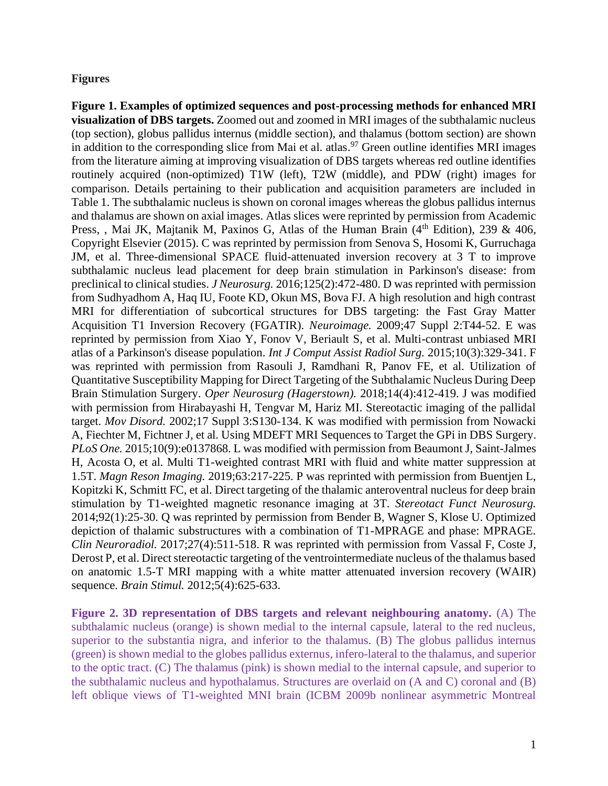#### **Figures**

**Figure 1. Examples of optimized sequences and post-processing methods for enhanced MRI visualization of DBS targets.** Zoomed out and zoomed in MRI images of the subthalamic nucleus (top section), globus pallidus internus (middle section), and thalamus (bottom section) are shown in addition to the corresponding slice from Mai et al. atlas. <sup>97</sup> Green outline identifies MRI images from the literature aiming at improving visualization of DBS targets whereas red outline identifies routinely acquired (non-optimized) T1W (left), T2W (middle), and PDW (right) images for comparison. Details pertaining to their publication and acquisition parameters are included in Table 1. The subthalamic nucleus is shown on coronal images whereas the globus pallidus internus and thalamus are shown on axial images. Atlas slices were reprinted by permission from Academic Press, , Mai JK, Majtanik M, Paxinos G, Atlas of the Human Brain ( $4<sup>th</sup>$  Edition), 239 & 406, Copyright Elsevier (2015). C was reprinted by permission from Senova S, Hosomi K, Gurruchaga JM, et al. Three-dimensional SPACE fluid-attenuated inversion recovery at 3 T to improve subthalamic nucleus lead placement for deep brain stimulation in Parkinson's disease: from preclinical to clinical studies. *J Neurosurg.* 2016;125(2):472-480. D was reprinted with permission from Sudhyadhom A, Haq IU, Foote KD, Okun MS, Bova FJ. A high resolution and high contrast MRI for differentiation of subcortical structures for DBS targeting: the Fast Gray Matter Acquisition T1 Inversion Recovery (FGATIR). *Neuroimage.* 2009;47 Suppl 2:T44-52. E was reprinted by permission from Xiao Y, Fonov V, Beriault S, et al. Multi-contrast unbiased MRI atlas of a Parkinson's disease population. *Int J Comput Assist Radiol Surg.* 2015;10(3):329-341. F was reprinted with permission from Rasouli J, Ramdhani R, Panov FE, et al. Utilization of Quantitative Susceptibility Mapping for Direct Targeting of the Subthalamic Nucleus During Deep Brain Stimulation Surgery. *Oper Neurosurg (Hagerstown).* 2018;14(4):412-419. J was modified with permission from Hirabayashi H, Tengvar M, Hariz MI. Stereotactic imaging of the pallidal target. *Mov Disord.* 2002;17 Suppl 3:S130-134. K was modified with permission from Nowacki A, Fiechter M, Fichtner J, et al. Using MDEFT MRI Sequences to Target the GPi in DBS Surgery. *PLoS One.* 2015;10(9):e0137868. L was modified with permission from Beaumont J, Saint-Jalmes H, Acosta O, et al. Multi T1-weighted contrast MRI with fluid and white matter suppression at 1.5T. *Magn Reson Imaging.* 2019;63:217-225. P was reprinted with permission from Buentjen L, Kopitzki K, Schmitt FC, et al. Direct targeting of the thalamic anteroventral nucleus for deep brain stimulation by T1-weighted magnetic resonance imaging at 3T. *Stereotact Funct Neurosurg.*  2014;92(1):25-30. Q was reprinted by permission from Bender B, Wagner S, Klose U. Optimized depiction of thalamic substructures with a combination of T1-MPRAGE and phase: MPRAGE. *Clin Neuroradiol.* 2017;27(4):511-518. R was reprinted with permission from Vassal F, Coste J, Derost P, et al. Direct stereotactic targeting of the ventrointermediate nucleus of the thalamus based on anatomic 1.5-T MRI mapping with a white matter attenuated inversion recovery (WAIR) sequence. *Brain Stimul.* 2012;5(4):625-633.

**Figure 2. 3D representation of DBS targets and relevant neighbouring anatomy.** (A) The subthalamic nucleus (orange) is shown medial to the internal capsule, lateral to the red nucleus, superior to the substantia nigra, and inferior to the thalamus. (B) The globus pallidus internus (green) is shown medial to the globes pallidus externus, infero-lateral to the thalamus, and superior to the optic tract. (C) The thalamus (pink) is shown medial to the internal capsule, and superior to the subthalamic nucleus and hypothalamus. Structures are overlaid on (A and C) coronal and (B) left oblique views of T1-weighted MNI brain (ICBM 2009b nonlinear asymmetric Montreal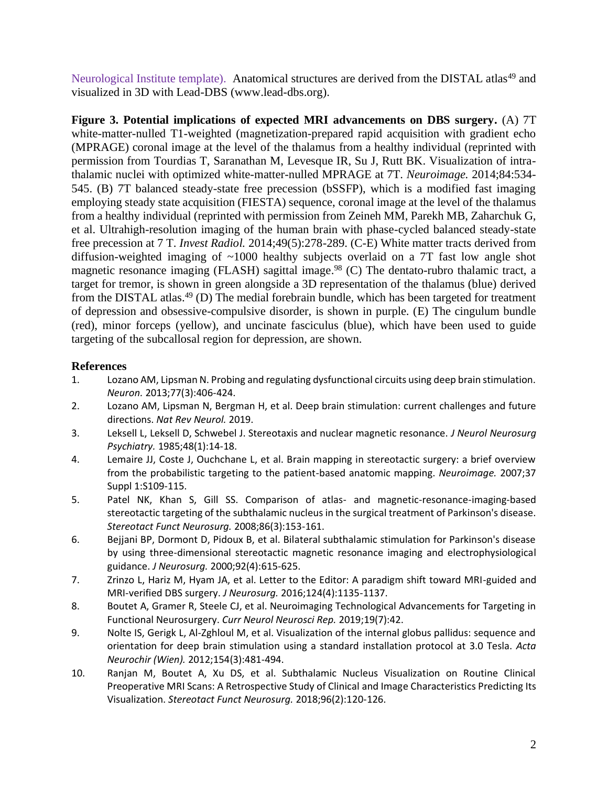Neurological Institute template). Anatomical structures are derived from the DISTAL atlas<sup>49</sup> and visualized in 3D with Lead-DBS (www.lead-dbs.org).

**Figure 3. Potential implications of expected MRI advancements on DBS surgery.** (A) 7T white-matter-nulled T1-weighted (magnetization-prepared rapid acquisition with gradient echo (MPRAGE) coronal image at the level of the thalamus from a healthy individual (reprinted with permission from Tourdias T, Saranathan M, Levesque IR, Su J, Rutt BK. Visualization of intrathalamic nuclei with optimized white-matter-nulled MPRAGE at 7T. *Neuroimage.* 2014;84:534- 545. (B) 7T balanced steady-state free precession (bSSFP), which is a modified fast imaging employing steady state acquisition (FIESTA) sequence, coronal image at the level of the thalamus from a healthy individual (reprinted with permission from Zeineh MM, Parekh MB, Zaharchuk G, et al. Ultrahigh-resolution imaging of the human brain with phase-cycled balanced steady-state free precession at 7 T. *Invest Radiol.* 2014;49(5):278-289. (C-E) White matter tracts derived from diffusion-weighted imaging of ~1000 healthy subjects overlaid on a 7T fast low angle shot magnetic resonance imaging (FLASH) sagittal image.<sup>98</sup> (C) The dentato-rubro thalamic tract, a target for tremor, is shown in green alongside a 3D representation of the thalamus (blue) derived from the DISTAL atlas.<sup>49</sup> (D) The medial forebrain bundle, which has been targeted for treatment of depression and obsessive-compulsive disorder, is shown in purple. (E) The cingulum bundle (red), minor forceps (yellow), and uncinate fasciculus (blue), which have been used to guide targeting of the subcallosal region for depression, are shown.

# **References**

- 1. Lozano AM, Lipsman N. Probing and regulating dysfunctional circuits using deep brain stimulation. *Neuron.* 2013;77(3):406-424.
- 2. Lozano AM, Lipsman N, Bergman H, et al. Deep brain stimulation: current challenges and future directions. *Nat Rev Neurol.* 2019.
- 3. Leksell L, Leksell D, Schwebel J. Stereotaxis and nuclear magnetic resonance. *J Neurol Neurosurg Psychiatry.* 1985;48(1):14-18.
- 4. Lemaire JJ, Coste J, Ouchchane L, et al. Brain mapping in stereotactic surgery: a brief overview from the probabilistic targeting to the patient-based anatomic mapping. *Neuroimage.* 2007;37 Suppl 1:S109-115.
- 5. Patel NK, Khan S, Gill SS. Comparison of atlas- and magnetic-resonance-imaging-based stereotactic targeting of the subthalamic nucleus in the surgical treatment of Parkinson's disease. *Stereotact Funct Neurosurg.* 2008;86(3):153-161.
- 6. Bejjani BP, Dormont D, Pidoux B, et al. Bilateral subthalamic stimulation for Parkinson's disease by using three-dimensional stereotactic magnetic resonance imaging and electrophysiological guidance. *J Neurosurg.* 2000;92(4):615-625.
- 7. Zrinzo L, Hariz M, Hyam JA, et al. Letter to the Editor: A paradigm shift toward MRI-guided and MRI-verified DBS surgery. *J Neurosurg.* 2016;124(4):1135-1137.
- 8. Boutet A, Gramer R, Steele CJ, et al. Neuroimaging Technological Advancements for Targeting in Functional Neurosurgery. *Curr Neurol Neurosci Rep.* 2019;19(7):42.
- 9. Nolte IS, Gerigk L, Al-Zghloul M, et al. Visualization of the internal globus pallidus: sequence and orientation for deep brain stimulation using a standard installation protocol at 3.0 Tesla. *Acta Neurochir (Wien).* 2012;154(3):481-494.
- 10. Ranjan M, Boutet A, Xu DS, et al. Subthalamic Nucleus Visualization on Routine Clinical Preoperative MRI Scans: A Retrospective Study of Clinical and Image Characteristics Predicting Its Visualization. *Stereotact Funct Neurosurg.* 2018;96(2):120-126.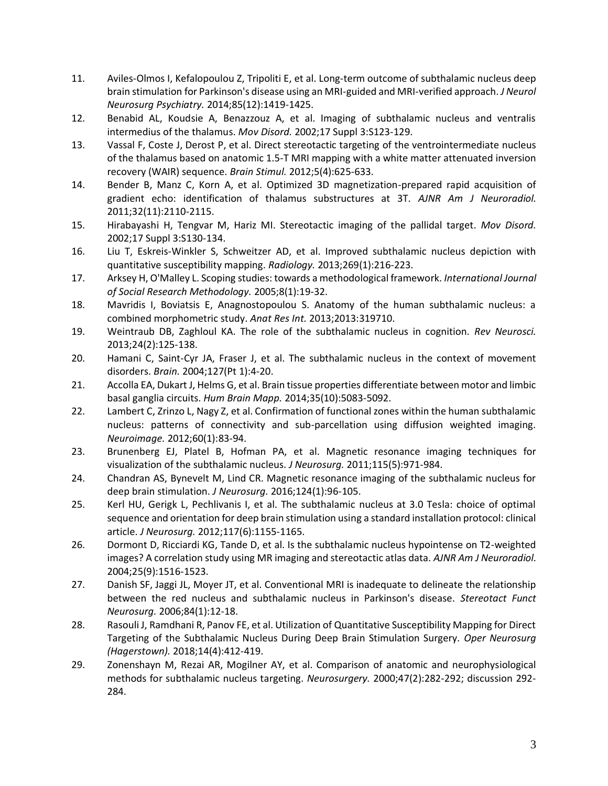- 11. Aviles-Olmos I, Kefalopoulou Z, Tripoliti E, et al. Long-term outcome of subthalamic nucleus deep brain stimulation for Parkinson's disease using an MRI-guided and MRI-verified approach. *J Neurol Neurosurg Psychiatry.* 2014;85(12):1419-1425.
- 12. Benabid AL, Koudsie A, Benazzouz A, et al. Imaging of subthalamic nucleus and ventralis intermedius of the thalamus. *Mov Disord.* 2002;17 Suppl 3:S123-129.
- 13. Vassal F, Coste J, Derost P, et al. Direct stereotactic targeting of the ventrointermediate nucleus of the thalamus based on anatomic 1.5-T MRI mapping with a white matter attenuated inversion recovery (WAIR) sequence. *Brain Stimul.* 2012;5(4):625-633.
- 14. Bender B, Manz C, Korn A, et al. Optimized 3D magnetization-prepared rapid acquisition of gradient echo: identification of thalamus substructures at 3T. *AJNR Am J Neuroradiol.*  2011;32(11):2110-2115.
- 15. Hirabayashi H, Tengvar M, Hariz MI. Stereotactic imaging of the pallidal target. *Mov Disord.*  2002;17 Suppl 3:S130-134.
- 16. Liu T, Eskreis-Winkler S, Schweitzer AD, et al. Improved subthalamic nucleus depiction with quantitative susceptibility mapping. *Radiology.* 2013;269(1):216-223.
- 17. Arksey H, O'Malley L. Scoping studies: towards a methodological framework. *International Journal of Social Research Methodology.* 2005;8(1):19-32.
- 18. Mavridis I, Boviatsis E, Anagnostopoulou S. Anatomy of the human subthalamic nucleus: a combined morphometric study. *Anat Res Int.* 2013;2013:319710.
- 19. Weintraub DB, Zaghloul KA. The role of the subthalamic nucleus in cognition. *Rev Neurosci.*  2013;24(2):125-138.
- 20. Hamani C, Saint-Cyr JA, Fraser J, et al. The subthalamic nucleus in the context of movement disorders. *Brain.* 2004;127(Pt 1):4-20.
- 21. Accolla EA, Dukart J, Helms G, et al. Brain tissue properties differentiate between motor and limbic basal ganglia circuits. *Hum Brain Mapp.* 2014;35(10):5083-5092.
- 22. Lambert C, Zrinzo L, Nagy Z, et al. Confirmation of functional zones within the human subthalamic nucleus: patterns of connectivity and sub-parcellation using diffusion weighted imaging. *Neuroimage.* 2012;60(1):83-94.
- 23. Brunenberg EJ, Platel B, Hofman PA, et al. Magnetic resonance imaging techniques for visualization of the subthalamic nucleus. *J Neurosurg.* 2011;115(5):971-984.
- 24. Chandran AS, Bynevelt M, Lind CR. Magnetic resonance imaging of the subthalamic nucleus for deep brain stimulation. *J Neurosurg.* 2016;124(1):96-105.
- 25. Kerl HU, Gerigk L, Pechlivanis I, et al. The subthalamic nucleus at 3.0 Tesla: choice of optimal sequence and orientation for deep brain stimulation using a standard installation protocol: clinical article. *J Neurosurg.* 2012;117(6):1155-1165.
- 26. Dormont D, Ricciardi KG, Tande D, et al. Is the subthalamic nucleus hypointense on T2-weighted images? A correlation study using MR imaging and stereotactic atlas data. *AJNR Am J Neuroradiol.*  2004;25(9):1516-1523.
- 27. Danish SF, Jaggi JL, Moyer JT, et al. Conventional MRI is inadequate to delineate the relationship between the red nucleus and subthalamic nucleus in Parkinson's disease. *Stereotact Funct Neurosurg.* 2006;84(1):12-18.
- 28. Rasouli J, Ramdhani R, Panov FE, et al. Utilization of Quantitative Susceptibility Mapping for Direct Targeting of the Subthalamic Nucleus During Deep Brain Stimulation Surgery. *Oper Neurosurg (Hagerstown).* 2018;14(4):412-419.
- 29. Zonenshayn M, Rezai AR, Mogilner AY, et al. Comparison of anatomic and neurophysiological methods for subthalamic nucleus targeting. *Neurosurgery.* 2000;47(2):282-292; discussion 292- 284.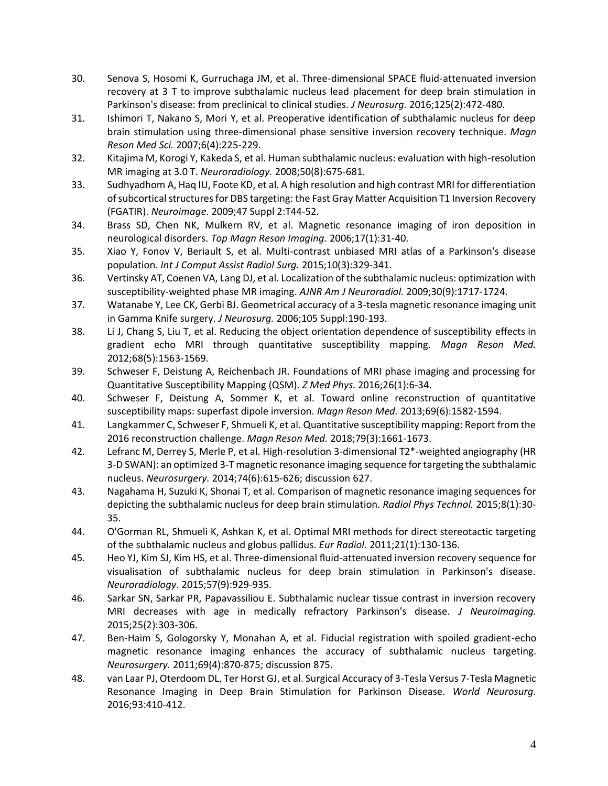- 30. Senova S, Hosomi K, Gurruchaga JM, et al. Three-dimensional SPACE fluid-attenuated inversion recovery at 3 T to improve subthalamic nucleus lead placement for deep brain stimulation in Parkinson's disease: from preclinical to clinical studies. *J Neurosurg.* 2016;125(2):472-480.
- 31. Ishimori T, Nakano S, Mori Y, et al. Preoperative identification of subthalamic nucleus for deep brain stimulation using three-dimensional phase sensitive inversion recovery technique. *Magn Reson Med Sci.* 2007;6(4):225-229.
- 32. Kitajima M, Korogi Y, Kakeda S, et al. Human subthalamic nucleus: evaluation with high-resolution MR imaging at 3.0 T. *Neuroradiology.* 2008;50(8):675-681.
- 33. Sudhyadhom A, Haq IU, Foote KD, et al. A high resolution and high contrast MRI for differentiation of subcortical structures for DBS targeting: the Fast Gray Matter Acquisition T1 Inversion Recovery (FGATIR). *Neuroimage.* 2009;47 Suppl 2:T44-52.
- 34. Brass SD, Chen NK, Mulkern RV, et al. Magnetic resonance imaging of iron deposition in neurological disorders. *Top Magn Reson Imaging.* 2006;17(1):31-40.
- 35. Xiao Y, Fonov V, Beriault S, et al. Multi-contrast unbiased MRI atlas of a Parkinson's disease population. *Int J Comput Assist Radiol Surg.* 2015;10(3):329-341.
- 36. Vertinsky AT, Coenen VA, Lang DJ, et al. Localization of the subthalamic nucleus: optimization with susceptibility-weighted phase MR imaging. *AJNR Am J Neuroradiol.* 2009;30(9):1717-1724.
- 37. Watanabe Y, Lee CK, Gerbi BJ. Geometrical accuracy of a 3-tesla magnetic resonance imaging unit in Gamma Knife surgery. *J Neurosurg.* 2006;105 Suppl:190-193.
- 38. Li J, Chang S, Liu T, et al. Reducing the object orientation dependence of susceptibility effects in gradient echo MRI through quantitative susceptibility mapping. *Magn Reson Med.*  2012;68(5):1563-1569.
- 39. Schweser F, Deistung A, Reichenbach JR. Foundations of MRI phase imaging and processing for Quantitative Susceptibility Mapping (QSM). *Z Med Phys.* 2016;26(1):6-34.
- 40. Schweser F, Deistung A, Sommer K, et al. Toward online reconstruction of quantitative susceptibility maps: superfast dipole inversion. *Magn Reson Med.* 2013;69(6):1582-1594.
- 41. Langkammer C, Schweser F, Shmueli K, et al. Quantitative susceptibility mapping: Report from the 2016 reconstruction challenge. *Magn Reson Med.* 2018;79(3):1661-1673.
- 42. Lefranc M, Derrey S, Merle P, et al. High-resolution 3-dimensional T2\*-weighted angiography (HR 3-D SWAN): an optimized 3-T magnetic resonance imaging sequence for targeting the subthalamic nucleus. *Neurosurgery.* 2014;74(6):615-626; discussion 627.
- 43. Nagahama H, Suzuki K, Shonai T, et al. Comparison of magnetic resonance imaging sequences for depicting the subthalamic nucleus for deep brain stimulation. *Radiol Phys Technol.* 2015;8(1):30- 35.
- 44. O'Gorman RL, Shmueli K, Ashkan K, et al. Optimal MRI methods for direct stereotactic targeting of the subthalamic nucleus and globus pallidus. *Eur Radiol.* 2011;21(1):130-136.
- 45. Heo YJ, Kim SJ, Kim HS, et al. Three-dimensional fluid-attenuated inversion recovery sequence for visualisation of subthalamic nucleus for deep brain stimulation in Parkinson's disease. *Neuroradiology.* 2015;57(9):929-935.
- 46. Sarkar SN, Sarkar PR, Papavassiliou E. Subthalamic nuclear tissue contrast in inversion recovery MRI decreases with age in medically refractory Parkinson's disease. *J Neuroimaging.*  2015;25(2):303-306.
- 47. Ben-Haim S, Gologorsky Y, Monahan A, et al. Fiducial registration with spoiled gradient-echo magnetic resonance imaging enhances the accuracy of subthalamic nucleus targeting. *Neurosurgery.* 2011;69(4):870-875; discussion 875.
- 48. van Laar PJ, Oterdoom DL, Ter Horst GJ, et al. Surgical Accuracy of 3-Tesla Versus 7-Tesla Magnetic Resonance Imaging in Deep Brain Stimulation for Parkinson Disease. *World Neurosurg.*  2016;93:410-412.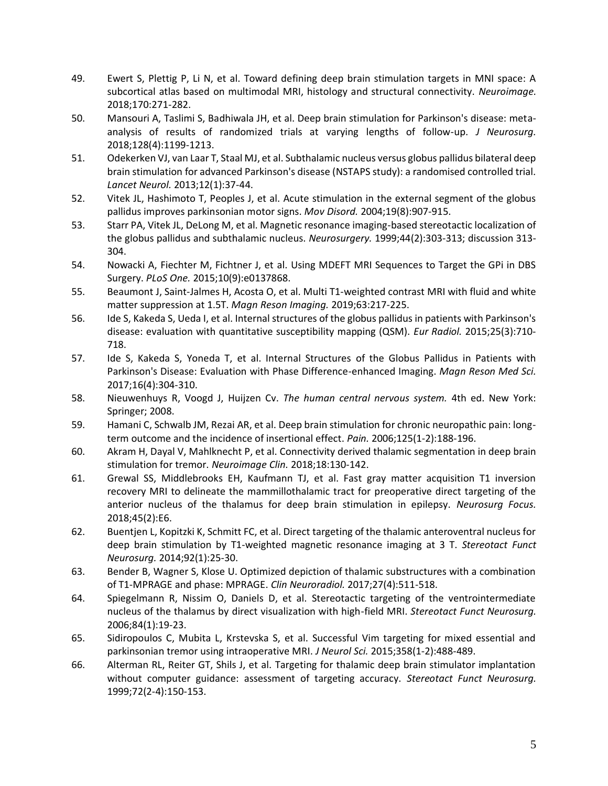- 49. Ewert S, Plettig P, Li N, et al. Toward defining deep brain stimulation targets in MNI space: A subcortical atlas based on multimodal MRI, histology and structural connectivity. *Neuroimage.*  2018;170:271-282.
- 50. Mansouri A, Taslimi S, Badhiwala JH, et al. Deep brain stimulation for Parkinson's disease: metaanalysis of results of randomized trials at varying lengths of follow-up. *J Neurosurg.*  2018;128(4):1199-1213.
- 51. Odekerken VJ, van Laar T, Staal MJ, et al. Subthalamic nucleus versus globus pallidus bilateral deep brain stimulation for advanced Parkinson's disease (NSTAPS study): a randomised controlled trial. *Lancet Neurol.* 2013;12(1):37-44.
- 52. Vitek JL, Hashimoto T, Peoples J, et al. Acute stimulation in the external segment of the globus pallidus improves parkinsonian motor signs. *Mov Disord.* 2004;19(8):907-915.
- 53. Starr PA, Vitek JL, DeLong M, et al. Magnetic resonance imaging-based stereotactic localization of the globus pallidus and subthalamic nucleus. *Neurosurgery.* 1999;44(2):303-313; discussion 313- 304.
- 54. Nowacki A, Fiechter M, Fichtner J, et al. Using MDEFT MRI Sequences to Target the GPi in DBS Surgery. *PLoS One.* 2015;10(9):e0137868.
- 55. Beaumont J, Saint-Jalmes H, Acosta O, et al. Multi T1-weighted contrast MRI with fluid and white matter suppression at 1.5T. *Magn Reson Imaging.* 2019;63:217-225.
- 56. Ide S, Kakeda S, Ueda I, et al. Internal structures of the globus pallidus in patients with Parkinson's disease: evaluation with quantitative susceptibility mapping (QSM). *Eur Radiol.* 2015;25(3):710- 718.
- 57. Ide S, Kakeda S, Yoneda T, et al. Internal Structures of the Globus Pallidus in Patients with Parkinson's Disease: Evaluation with Phase Difference-enhanced Imaging. *Magn Reson Med Sci.*  2017;16(4):304-310.
- 58. Nieuwenhuys R, Voogd J, Huijzen Cv. *The human central nervous system.* 4th ed. New York: Springer; 2008.
- 59. Hamani C, Schwalb JM, Rezai AR, et al. Deep brain stimulation for chronic neuropathic pain: longterm outcome and the incidence of insertional effect. *Pain.* 2006;125(1-2):188-196.
- 60. Akram H, Dayal V, Mahlknecht P, et al. Connectivity derived thalamic segmentation in deep brain stimulation for tremor. *Neuroimage Clin.* 2018;18:130-142.
- 61. Grewal SS, Middlebrooks EH, Kaufmann TJ, et al. Fast gray matter acquisition T1 inversion recovery MRI to delineate the mammillothalamic tract for preoperative direct targeting of the anterior nucleus of the thalamus for deep brain stimulation in epilepsy. *Neurosurg Focus.*  2018;45(2):E6.
- 62. Buentjen L, Kopitzki K, Schmitt FC, et al. Direct targeting of the thalamic anteroventral nucleus for deep brain stimulation by T1-weighted magnetic resonance imaging at 3 T. *Stereotact Funct Neurosurg.* 2014;92(1):25-30.
- 63. Bender B, Wagner S, Klose U. Optimized depiction of thalamic substructures with a combination of T1-MPRAGE and phase: MPRAGE. *Clin Neuroradiol.* 2017;27(4):511-518.
- 64. Spiegelmann R, Nissim O, Daniels D, et al. Stereotactic targeting of the ventrointermediate nucleus of the thalamus by direct visualization with high-field MRI. *Stereotact Funct Neurosurg.*  2006;84(1):19-23.
- 65. Sidiropoulos C, Mubita L, Krstevska S, et al. Successful Vim targeting for mixed essential and parkinsonian tremor using intraoperative MRI. *J Neurol Sci.* 2015;358(1-2):488-489.
- 66. Alterman RL, Reiter GT, Shils J, et al. Targeting for thalamic deep brain stimulator implantation without computer guidance: assessment of targeting accuracy. *Stereotact Funct Neurosurg.*  1999;72(2-4):150-153.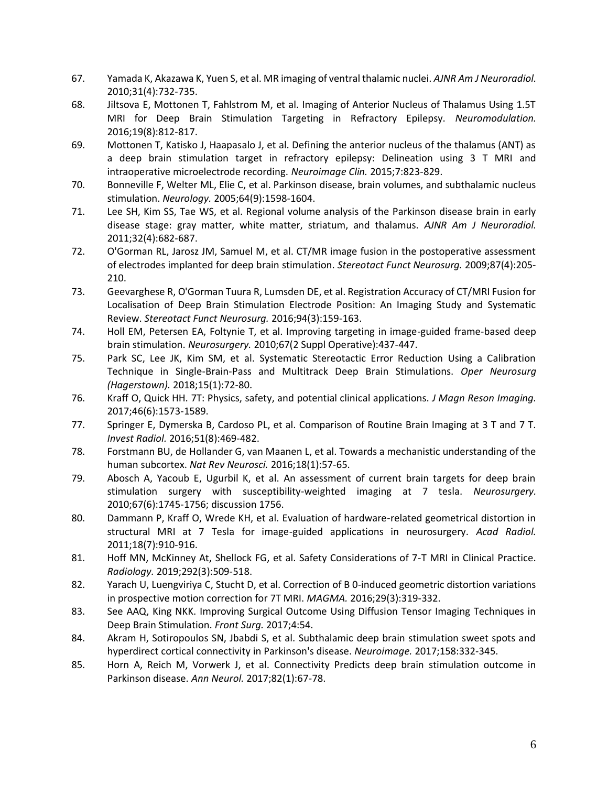- 67. Yamada K, Akazawa K, Yuen S, et al. MR imaging of ventral thalamic nuclei. *AJNR Am J Neuroradiol.*  2010;31(4):732-735.
- 68. Jiltsova E, Mottonen T, Fahlstrom M, et al. Imaging of Anterior Nucleus of Thalamus Using 1.5T MRI for Deep Brain Stimulation Targeting in Refractory Epilepsy. *Neuromodulation.*  2016;19(8):812-817.
- 69. Mottonen T, Katisko J, Haapasalo J, et al. Defining the anterior nucleus of the thalamus (ANT) as a deep brain stimulation target in refractory epilepsy: Delineation using 3 T MRI and intraoperative microelectrode recording. *Neuroimage Clin.* 2015;7:823-829.
- 70. Bonneville F, Welter ML, Elie C, et al. Parkinson disease, brain volumes, and subthalamic nucleus stimulation. *Neurology.* 2005;64(9):1598-1604.
- 71. Lee SH, Kim SS, Tae WS, et al. Regional volume analysis of the Parkinson disease brain in early disease stage: gray matter, white matter, striatum, and thalamus. *AJNR Am J Neuroradiol.*  2011;32(4):682-687.
- 72. O'Gorman RL, Jarosz JM, Samuel M, et al. CT/MR image fusion in the postoperative assessment of electrodes implanted for deep brain stimulation. *Stereotact Funct Neurosurg.* 2009;87(4):205- 210.
- 73. Geevarghese R, O'Gorman Tuura R, Lumsden DE, et al. Registration Accuracy of CT/MRI Fusion for Localisation of Deep Brain Stimulation Electrode Position: An Imaging Study and Systematic Review. *Stereotact Funct Neurosurg.* 2016;94(3):159-163.
- 74. Holl EM, Petersen EA, Foltynie T, et al. Improving targeting in image-guided frame-based deep brain stimulation. *Neurosurgery.* 2010;67(2 Suppl Operative):437-447.
- 75. Park SC, Lee JK, Kim SM, et al. Systematic Stereotactic Error Reduction Using a Calibration Technique in Single-Brain-Pass and Multitrack Deep Brain Stimulations. *Oper Neurosurg (Hagerstown).* 2018;15(1):72-80.
- 76. Kraff O, Quick HH. 7T: Physics, safety, and potential clinical applications. *J Magn Reson Imaging.*  2017;46(6):1573-1589.
- 77. Springer E, Dymerska B, Cardoso PL, et al. Comparison of Routine Brain Imaging at 3 T and 7 T. *Invest Radiol.* 2016;51(8):469-482.
- 78. Forstmann BU, de Hollander G, van Maanen L, et al. Towards a mechanistic understanding of the human subcortex. *Nat Rev Neurosci.* 2016;18(1):57-65.
- 79. Abosch A, Yacoub E, Ugurbil K, et al. An assessment of current brain targets for deep brain stimulation surgery with susceptibility-weighted imaging at 7 tesla. *Neurosurgery.*  2010;67(6):1745-1756; discussion 1756.
- 80. Dammann P, Kraff O, Wrede KH, et al. Evaluation of hardware-related geometrical distortion in structural MRI at 7 Tesla for image-guided applications in neurosurgery. *Acad Radiol.*  2011;18(7):910-916.
- 81. Hoff MN, McKinney At, Shellock FG, et al. Safety Considerations of 7-T MRI in Clinical Practice. *Radiology.* 2019;292(3):509-518.
- 82. Yarach U, Luengviriya C, Stucht D, et al. Correction of B 0-induced geometric distortion variations in prospective motion correction for 7T MRI. *MAGMA.* 2016;29(3):319-332.
- 83. See AAQ, King NKK. Improving Surgical Outcome Using Diffusion Tensor Imaging Techniques in Deep Brain Stimulation. *Front Surg.* 2017;4:54.
- 84. Akram H, Sotiropoulos SN, Jbabdi S, et al. Subthalamic deep brain stimulation sweet spots and hyperdirect cortical connectivity in Parkinson's disease. *Neuroimage.* 2017;158:332-345.
- 85. Horn A, Reich M, Vorwerk J, et al. Connectivity Predicts deep brain stimulation outcome in Parkinson disease. *Ann Neurol.* 2017;82(1):67-78.